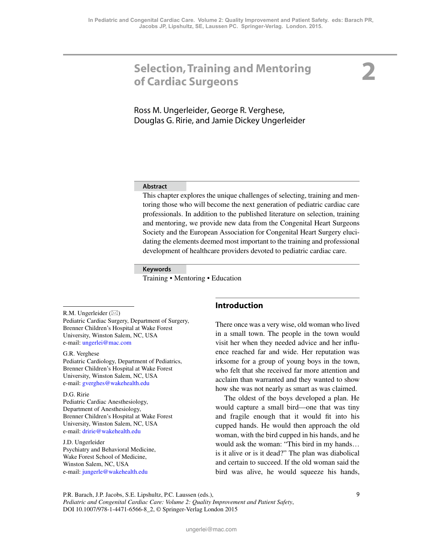# **Selection, Training and Mentoring 22 and 22 and 22 and 22 and 22 and 22 and 22 and 22 and 22 and 22 and 22 and 22 of Cardiac Surgeons**

Ross M. Ungerleider, George R. Verghese, Douglas G. Ririe, and Jamie Dickey Ungerleider

### **Abstract**

 This chapter explores the unique challenges of selecting, training and mentoring those who will become the next generation of pediatric cardiac care professionals. In addition to the published literature on selection, training and mentoring, we provide new data from the Congenital Heart Surgeons Society and the European Association for Congenital Heart Surgery elucidating the elements deemed most important to the training and professional development of healthcare providers devoted to pediatric cardiac care.

#### **Keywords**

Training • Mentoring • Education

#### R.M. Ungerleider  $(\boxtimes)$

Pediatric Cardiac Surgery, Department of Surgery, Brenner Children's Hospital at Wake Forest University, Winston Salem, NC, USA e-mail: ungerlei@mac.com

#### G.R. Verghese

Pediatric Cardiology, Department of Pediatrics, Brenner Children's Hospital at Wake Forest University, Winston Salem, NC, USA e-mail: gverghes@wakehealth.edu

#### D.G. Ririe

 Pediatric Cardiac Anesthesiology, Department of Anesthesiology, Brenner Children's Hospital at Wake Forest University, Winston Salem, NC, USA e-mail: dririe@wakehealth.edu

J.D. Ungerleider Psychiatry and Behavioral Medicine, Wake Forest School of Medicine, Winston Salem, NC, USA e-mail: jungerle@wakehealth.edu

# **Introduction**

 There once was a very wise, old woman who lived in a small town. The people in the town would visit her when they needed advice and her influence reached far and wide. Her reputation was irksome for a group of young boys in the town, who felt that she received far more attention and acclaim than warranted and they wanted to show how she was not nearly as smart as was claimed.

 The oldest of the boys developed a plan. He would capture a small bird—one that was tiny and fragile enough that it would fit into his cupped hands. He would then approach the old woman, with the bird cupped in his hands, and he would ask the woman: "This bird in my hands… is it alive or is it dead?" The plan was diabolical and certain to succeed. If the old woman said the bird was alive, he would squeeze his hands,

P.R. Barach, J.P. Jacobs, S.E. Lipshultz, P.C. Laussen (eds.), 9 *Pediatric and Congenital Cardiac Care: Volume 2: Quality Improvement and Patient Safety*, DOI 10.1007/978-1-4471-6566-8\_2, © Springer-Verlag London 2015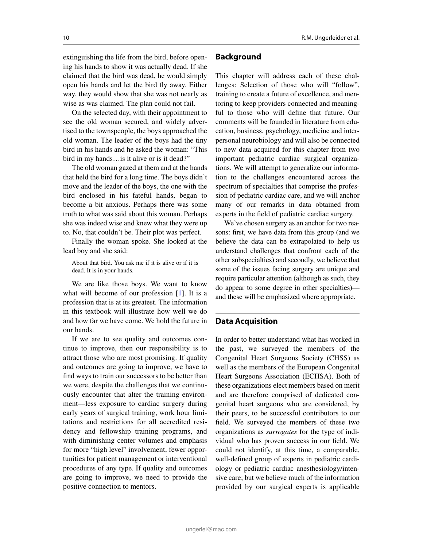extinguishing the life from the bird, before opening his hands to show it was actually dead. If she claimed that the bird was dead, he would simply open his hands and let the bird fly away. Either way, they would show that she was not nearly as wise as was claimed. The plan could not fail.

 On the selected day, with their appointment to see the old woman secured, and widely advertised to the townspeople, the boys approached the old woman. The leader of the boys had the tiny bird in his hands and he asked the woman: "This bird in my hands…is it alive or is it dead?"

 The old woman gazed at them and at the hands that held the bird for a long time. The boys didn't move and the leader of the boys, the one with the bird enclosed in his fateful hands, began to become a bit anxious. Perhaps there was some truth to what was said about this woman. Perhaps she was indeed wise and knew what they were up to. No, that couldn't be. Their plot was perfect.

 Finally the woman spoke. She looked at the lead boy and she said:

 About that bird. You ask me if it is alive or if it is dead. It is in your hands.

 We are like those boys. We want to know what will become of our profession  $[1]$ . It is a profession that is at its greatest. The information in this textbook will illustrate how well we do and how far we have come. We hold the future in our hands.

 If we are to see quality and outcomes continue to improve, then our responsibility is to attract those who are most promising. If quality and outcomes are going to improve, we have to find ways to train our successors to be better than we were, despite the challenges that we continuously encounter that alter the training environment—less exposure to cardiac surgery during early years of surgical training, work hour limitations and restrictions for all accredited residency and fellowship training programs, and with diminishing center volumes and emphasis for more "high level" involvement, fewer opportunities for patient management or interventional procedures of any type. If quality and outcomes are going to improve, we need to provide the positive connection to mentors.

# **Background**

 This chapter will address each of these challenges: Selection of those who will "follow", training to create a future of excellence, and mentoring to keep providers connected and meaningful to those who will define that future. Our comments will be founded in literature from education, business, psychology, medicine and interpersonal neurobiology and will also be connected to new data acquired for this chapter from two important pediatric cardiac surgical organizations. We will attempt to generalize our information to the challenges encountered across the spectrum of specialties that comprise the profession of pediatric cardiac care, and we will anchor many of our remarks in data obtained from experts in the field of pediatric cardiac surgery.

 We've chosen surgery as an anchor for two reasons: first, we have data from this group (and we believe the data can be extrapolated to help us understand challenges that confront each of the other subspecialties) and secondly, we believe that some of the issues facing surgery are unique and require particular attention (although as such, they do appear to some degree in other specialties) and these will be emphasized where appropriate.

#### **Data Acquisition**

 In order to better understand what has worked in the past, we surveyed the members of the Congenital Heart Surgeons Society (CHSS) as well as the members of the European Congenital Heart Surgeons Association (ECHSA). Both of these organizations elect members based on merit and are therefore comprised of dedicated congenital heart surgeons who are considered, by their peers, to be successful contributors to our field. We surveyed the members of these two organizations as *surrogates* for the type of individual who has proven success in our field. We could not identify, at this time, a comparable, well-defined group of experts in pediatric cardiology or pediatric cardiac anesthesiology/intensive care; but we believe much of the information provided by our surgical experts is applicable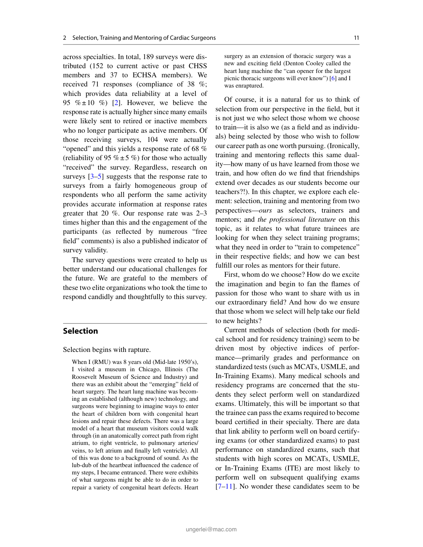across specialties. In total, 189 surveys were distributed (152 to current active or past CHSS members and 37 to ECHSA members). We received 71 responses (compliance of 38 %; which provides data reliability at a level of 95 % $\pm$ 10 %) [2]. However, we believe the response rate is actually higher since many emails were likely sent to retired or inactive members who no longer participate as active members. Of those receiving surveys, 104 were actually "opened" and this yields a response rate of 68 % (reliability of 95  $\% \pm 5 \%$ ) for those who actually "received" the survey. Regardless, research on surveys  $[3-5]$  suggests that the response rate to surveys from a fairly homogeneous group of respondents who all perform the same activity provides accurate information at response rates greater that 20 %. Our response rate was 2–3 times higher than this and the engagement of the participants (as reflected by numerous "free field" comments) is also a published indicator of survey validity.

 The survey questions were created to help us better understand our educational challenges for the future. We are grateful to the members of these two elite organizations who took the time to respond candidly and thoughtfully to this survey.

# **Selection**

Selection begins with rapture.

When I (RMU) was 8 years old (Mid-late 1950's), I visited a museum in Chicago, Illinois (The Roosevelt Museum of Science and Industry) and there was an exhibit about the "emerging" field of heart surgery. The heart lung machine was becoming an established (although new) technology, and surgeons were beginning to imagine ways to enter the heart of children born with congenital heart lesions and repair these defects. There was a large model of a heart that museum visitors could walk through (in an anatomically correct path from right atrium, to right ventricle, to pulmonary arteries/ veins, to left atrium and finally left ventricle). All of this was done to a background of sound. As the lub-dub of the heartbeat influenced the cadence of my steps, I became entranced. There were exhibits of what surgeons might be able to do in order to repair a variety of congenital heart defects. Heart surgery as an extension of thoracic surgery was a new and exciting field (Denton Cooley called the heart lung machine the "can opener for the largest picnic thoracic surgeons will ever know")  $[6]$  and I was enraptured.

 Of course, it is a natural for us to think of selection from our perspective in the field, but it is not just we who select those whom we choose to train—it is also we (as a field and as individuals) being selected by those who wish to follow our career path as one worth pursuing. (Ironically, training and mentoring reflects this same duality—how many of us have learned from those we train, and how often do we find that friendships extend over decades as our students become our teachers?!). In this chapter, we explore each element: selection, training and mentoring from two perspectives— *ours* as selectors, trainers and mentors; and *the professional literature* on this topic, as it relates to what future trainees are looking for when they select training programs; what they need in order to "train to competence" in their respective fields; and how we can best fulfill our roles as mentors for their future.

 First, whom do we choose? How do we excite the imagination and begin to fan the flames of passion for those who want to share with us in our extraordinary field? And how do we ensure that those whom we select will help take our field to new heights?

 Current methods of selection (both for medical school and for residency training) seem to be driven most by objective indices of performance—primarily grades and performance on standardized tests (such as MCATs, USMLE, and In-Training Exams). Many medical schools and residency programs are concerned that the students they select perform well on standardized exams. Ultimately, this will be important so that the trainee can pass the exams required to become board certified in their specialty. There are data that link ability to perform well on board certifying exams (or other standardized exams) to past performance on standardized exams, such that students with high scores on MCATs, USMLE, or In-Training Exams (ITE) are most likely to perform well on subsequent qualifying exams  $[7-11]$ . No wonder these candidates seem to be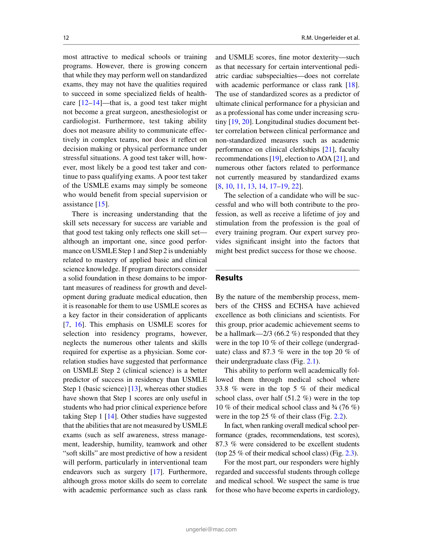most attractive to medical schools or training programs. However, there is growing concern that while they may perform well on standardized exams, they may not have the qualities required to succeed in some specialized fields of healthcare  $[12-14]$ —that is, a good test taker might not become a great surgeon, anesthesiologist or cardiologist. Furthermore, test taking ability does not measure ability to communicate effectively in complex teams, nor does it reflect on decision making or physical performance under stressful situations. A good test taker will, however, most likely be a good test taker and continue to pass qualifying exams. A poor test taker of the USMLE exams may simply be someone who would benefit from special supervision or assistance  $[15]$ .

 There is increasing understanding that the skill sets necessary for success are variable and that good test taking only reflects one skill set although an important one, since good performance on USMLE Step 1 and Step 2 is undeniably related to mastery of applied basic and clinical science knowledge. If program directors consider a solid foundation in these domains to be important measures of readiness for growth and development during graduate medical education, then it is reasonable for them to use USMLE scores as a key factor in their consideration of applicants [7, 16]. This emphasis on USMLE scores for selection into residency programs, however, neglects the numerous other talents and skills required for expertise as a physician. Some correlation studies have suggested that performance on USMLE Step 2 (clinical science) is a better predictor of success in residency than USMLE Step 1 (basic science)  $[13]$ , whereas other studies have shown that Step 1 scores are only useful in students who had prior clinical experience before taking Step 1 [14]. Other studies have suggested that the abilities that are not measured by USMLE exams (such as self awareness, stress management, leadership, humility, teamwork and other "soft skills" are most predictive of how a resident will perform, particularly in interventional team endeavors such as surgery  $[17]$ . Furthermore, although gross motor skills do seem to correlate with academic performance such as class rank and USMLE scores, fine motor dexterity—such as that necessary for certain interventional pediatric cardiac subspecialties—does not correlate with academic performance or class rank  $[18]$ . The use of standardized scores as a predictor of ultimate clinical performance for a physician and as a professional has come under increasing scrutiny  $[19, 20]$ . Longitudinal studies document better correlation between clinical performance and non-standardized measures such as academic performance on clinical clerkships [21], faculty recommendations  $[19]$ , election to AOA  $[21]$ , and numerous other factors related to performance not currently measured by standardized exams [ 8, 10, 11, 13, 14, 17–19, 22].

 The selection of a candidate who will be successful and who will both contribute to the profession, as well as receive a lifetime of joy and stimulation from the profession is the goal of every training program. Our expert survey provides significant insight into the factors that might best predict success for those we choose.

## **Results**

 By the nature of the membership process, members of the CHSS and ECHSA have achieved excellence as both clinicians and scientists. For this group, prior academic achievement seems to be a hallmark—2/3 (66.2 %) responded that they were in the top 10 % of their college (undergraduate) class and 87.3 % were in the top 20 % of their undergraduate class (Fig. 2.1).

 This ability to perform well academically followed them through medical school where 33.8 % were in the top 5 % of their medical school class, over half (51.2 %) were in the top 10 % of their medical school class and  $\frac{3}{4}$  (76 %) were in the top 25 % of their class (Fig. 2.2).

 In fact, when ranking overall medical school performance (grades, recommendations, test scores), 87.3 % were considered to be excellent students (top 25  $\%$  of their medical school class) (Fig. 2.3).

 For the most part, our responders were highly regarded and successful students through college and medical school. We suspect the same is true for those who have become experts in cardiology,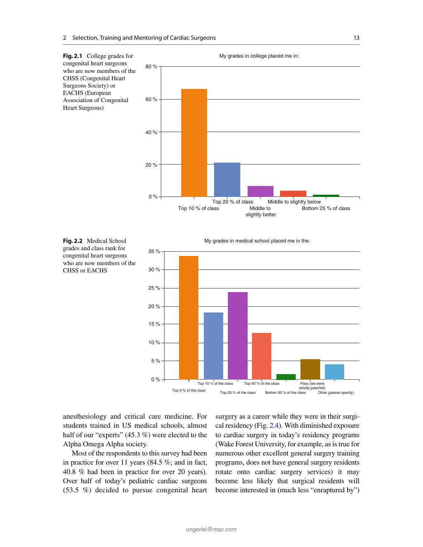



 **Fig. 2.2** Medical School grades and class rank for congenital heart surgeons who are now members of the CHSS or EACHS

anesthesiology and critical care medicine. For students trained in US medical schools, almost half of our "experts" (45.3 %) were elected to the Alpha Omega Alpha society.

 Most of the respondents to this survey had been in practice for over 11 years (84.5 %; and in fact, 40.8 % had been in practice for over 20 years). Over half of today's pediatric cardiac surgeons (53.5 %) decided to pursue congenital heart

surgery as a career while they were in their surgical residency (Fig. 2.4). With diminished exposure to cardiac surgery in today's residency programs (Wake Forest University, for example, as is true for numerous other excellent general surgery training programs, does not have general surgery residents rotate onto cardiac surgery services) it may become less likely that surgical residents will become interested in (much less "enraptured by")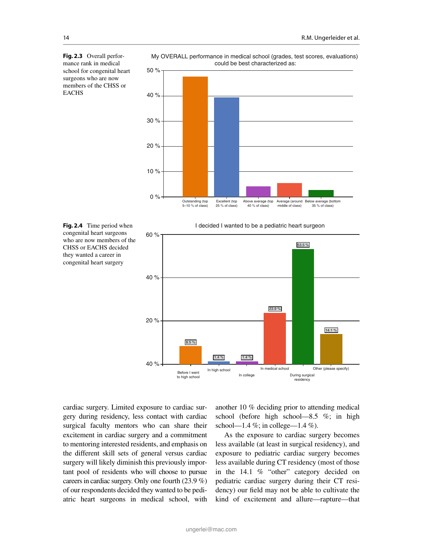







cardiac surgery. Limited exposure to cardiac surgery during residency, less contact with cardiac surgical faculty mentors who can share their excitement in cardiac surgery and a commitment to mentoring interested residents, and emphasis on the different skill sets of general versus cardiac surgery will likely diminish this previously important pool of residents who will choose to pursue careers in cardiac surgery. Only one fourth (23.9 %)

of our respondents decided they wanted to be pediatric heart surgeons in medical school, with

another 10 % deciding prior to attending medical school (before high school—8.5 %; in high school—1.4 %; in college—1.4 %).

 As the exposure to cardiac surgery becomes less available (at least in surgical residency), and exposure to pediatric cardiac surgery becomes less available during CT residency (most of those in the 14.1 % "other" category decided on pediatric cardiac surgery during their CT residency) our field may not be able to cultivate the kind of excitement and allure—rapture—that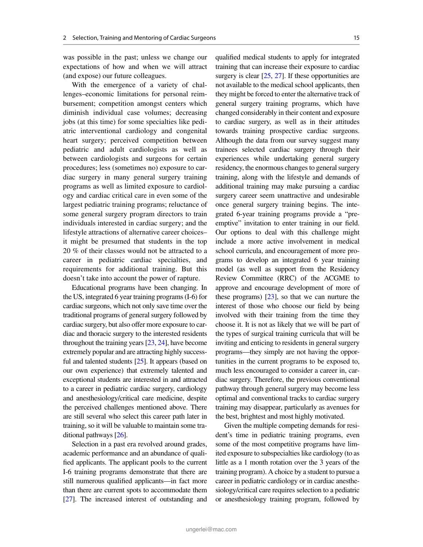was possible in the past; unless we change our expectations of how and when we will attract (and expose) our future colleagues.

 With the emergence of a variety of challenges–economic limitations for personal reimbursement; competition amongst centers which diminish individual case volumes; decreasing jobs (at this time) for some specialties like pediatric interventional cardiology and congenital heart surgery; perceived competition between pediatric and adult cardiologists as well as between cardiologists and surgeons for certain procedures; less (sometimes no) exposure to cardiac surgery in many general surgery training programs as well as limited exposure to cardiology and cardiac critical care in even some of the largest pediatric training programs; reluctance of some general surgery program directors to train individuals interested in cardiac surgery; and the lifestyle attractions of alternative career choices– it might be presumed that students in the top 20 % of their classes would not be attracted to a career in pediatric cardiac specialties, and requirements for additional training. But this doesn't take into account the power of rapture.

 Educational programs have been changing. In the US, integrated 6 year training programs (I-6) for cardiac surgeons, which not only save time over the traditional programs of general surgery followed by cardiac surgery, but also offer more exposure to cardiac and thoracic surgery to the interested residents throughout the training years  $[23, 24]$ , have become extremely popular and are attracting highly successful and talented students  $[25]$ . It appears (based on our own experience) that extremely talented and exceptional students are interested in and attracted to a career in pediatric cardiac surgery, cardiology and anesthesiology/critical care medicine, despite the perceived challenges mentioned above. There are still several who select this career path later in training, so it will be valuable to maintain some traditional pathways  $[26]$ .

 Selection in a past era revolved around grades, academic performance and an abundance of qualified applicants. The applicant pools to the current I-6 training programs demonstrate that there are still numerous qualified applicants—in fact more than there are current spots to accommodate them [27]. The increased interest of outstanding and qualified medical students to apply for integrated training that can increase their exposure to cardiac surgery is clear  $[25, 27]$ . If these opportunities are not available to the medical school applicants, then they might be forced to enter the alternative track of general surgery training programs, which have changed considerably in their content and exposure to cardiac surgery, as well as in their attitudes towards training prospective cardiac surgeons. Although the data from our survey suggest many trainees selected cardiac surgery through their experiences while undertaking general surgery residency, the enormous changes to general surgery training, along with the lifestyle and demands of additional training may make pursuing a cardiac surgery career seem unattractive and undesirable once general surgery training begins. The integrated 6-year training programs provide a "preemptive" invitation to enter training in our field. Our options to deal with this challenge might include a more active involvement in medical school curricula, and encouragement of more programs to develop an integrated 6 year training model (as well as support from the Residency Review Committee (RRC) of the ACGME to approve and encourage development of more of these programs)  $[23]$ , so that we can nurture the interest of those who choose our field by being involved with their training from the time they choose it. It is not as likely that we will be part of the types of surgical training curricula that will be inviting and enticing to residents in general surgery programs—they simply are not having the opportunities in the current programs to be exposed to, much less encouraged to consider a career in, cardiac surgery. Therefore, the previous conventional pathway through general surgery may become less optimal and conventional tracks to cardiac surgery training may disappear, particularly as avenues for the best, brightest and most highly motivated.

 Given the multiple competing demands for resident's time in pediatric training programs, even some of the most competitive programs have limited exposure to subspecialties like cardiology (to as little as a 1 month rotation over the 3 years of the training program). A choice by a student to pursue a career in pediatric cardiology or in cardiac anesthesiology/critical care requires selection to a pediatric or anesthesiology training program, followed by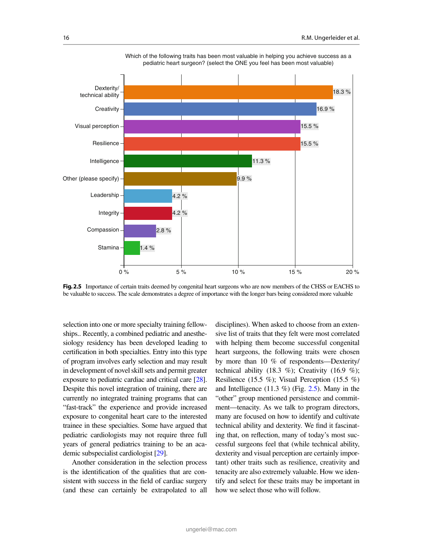

 **Fig. 2.5** Importance of certain traits deemed by congenital heart surgeons who are now members of the CHSS or EACHS to be valuable to success. The scale demonstrates a degree of importance with the longer bars being considered more valuable

selection into one or more specialty training fellowships.. Recently, a combined pediatric and anesthesiology residency has been developed leading to certification in both specialties. Entry into this type of program involves early selection and may result in development of novel skill sets and permit greater exposure to pediatric cardiac and critical care [28]. Despite this novel integration of training, there are currently no integrated training programs that can "fast-track" the experience and provide increased exposure to congenital heart care to the interested trainee in these specialties. Some have argued that pediatric cardiologists may not require three full years of general pediatrics training to be an academic subspecialist cardiologist [29].

 Another consideration in the selection process is the identification of the qualities that are consistent with success in the field of cardiac surgery (and these can certainly be extrapolated to all  disciplines). When asked to choose from an extensive list of traits that they felt were most correlated with helping them become successful congenital heart surgeons, the following traits were chosen by more than 10 % of respondents—Dexterity/ technical ability (18.3 %); Creativity (16.9 %); Resilience (15.5 %); Visual Perception (15.5 %) and Intelligence  $(11.3 \%)$  (Fig. 2.5). Many in the "other" group mentioned persistence and commitment—tenacity. As we talk to program directors, many are focused on how to identify and cultivate technical ability and dexterity. We find it fascinating that, on reflection, many of today's most successful surgeons feel that (while technical ability, dexterity and visual perception are certainly important) other traits such as resilience, creativity and tenacity are also extremely valuable. How we identify and select for these traits may be important in how we select those who will follow.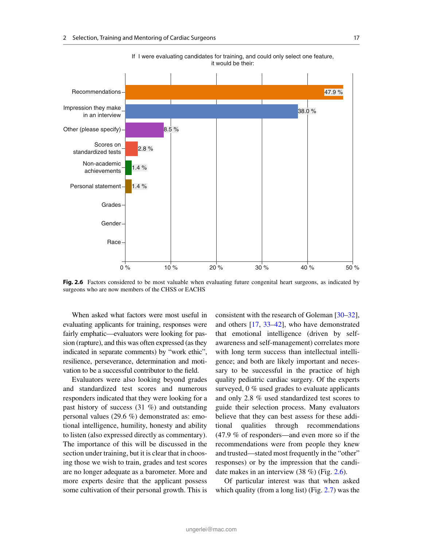

If I were evaluating candidates for training, and could only select one feature, it would be their:

 **Fig. 2.6** Factors considered to be most valuable when evaluating future congenital heart surgeons, as indicated by surgeons who are now members of the CHSS or EACHS

 When asked what factors were most useful in evaluating applicants for training, responses were fairly emphatic—evaluators were looking for passion (rapture), and this was often expressed (as they indicated in separate comments) by "work ethic", resilience, perseverance, determination and motivation to be a successful contributor to the field.

 Evaluators were also looking beyond grades and standardized test scores and numerous responders indicated that they were looking for a past history of success (31 %) and outstanding personal values (29.6 %) demonstrated as: emotional intelligence, humility, honesty and ability to listen (also expressed directly as commentary). The importance of this will be discussed in the section under training, but it is clear that in choosing those we wish to train, grades and test scores are no longer adequate as a barometer. More and more experts desire that the applicant possess some cultivation of their personal growth. This is consistent with the research of Goleman  $[30-32]$ , and others  $[17, 33-42]$ , who have demonstrated that emotional intelligence (driven by selfawareness and self-management) correlates more with long term success than intellectual intelligence; and both are likely important and necessary to be successful in the practice of high quality pediatric cardiac surgery. Of the experts surveyed, 0 % used grades to evaluate applicants and only 2.8 % used standardized test scores to guide their selection process. Many evaluators believe that they can best assess for these additional qualities through recommendations (47.9 % of responders—and even more so if the recommendations were from people they knew and trusted—stated most frequently in the "other" responses) or by the impression that the candidate makes in an interview  $(38\%)$  (Fig. 2.6).

 Of particular interest was that when asked which quality (from a long list) (Fig.  $2.7$ ) was the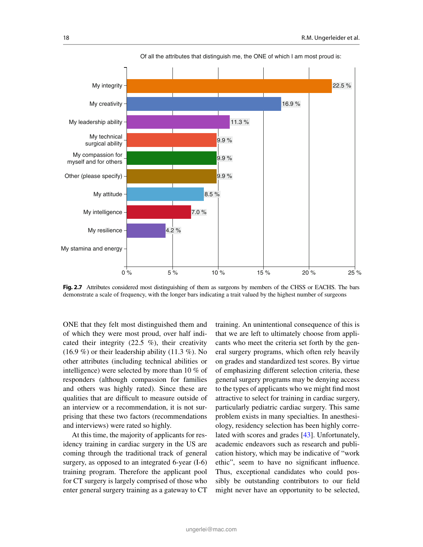

Of all the attributes that distinguish me, the ONE of which I am most proud is:

 **Fig. 2.7** Attributes considered most distinguishing of them as surgeons by members of the CHSS or EACHS. The bars demonstrate a scale of frequency, with the longer bars indicating a trait valued by the highest number of surgeons

ONE that they felt most distinguished them and of which they were most proud, over half indicated their integrity  $(22.5 \%)$ , their creativity  $(16.9\%)$  or their leadership ability  $(11.3\%)$ . No other attributes (including technical abilities or intelligence) were selected by more than 10 % of responders (although compassion for families and others was highly rated). Since these are qualities that are difficult to measure outside of an interview or a recommendation, it is not surprising that these two factors (recommendations and interviews) were rated so highly.

 At this time, the majority of applicants for residency training in cardiac surgery in the US are coming through the traditional track of general surgery, as opposed to an integrated 6-year (I-6) training program. Therefore the applicant pool for CT surgery is largely comprised of those who enter general surgery training as a gateway to CT training. An unintentional consequence of this is that we are left to ultimately choose from applicants who meet the criteria set forth by the general surgery programs, which often rely heavily on grades and standardized test scores. By virtue of emphasizing different selection criteria, these general surgery programs may be denying access to the types of applicants who we might find most attractive to select for training in cardiac surgery, particularly pediatric cardiac surgery. This same problem exists in many specialties. In anesthesiology, residency selection has been highly correlated with scores and grades [43]. Unfortunately, academic endeavors such as research and publication history, which may be indicative of "work ethic", seem to have no significant influence. Thus, exceptional candidates who could possibly be outstanding contributors to our field might never have an opportunity to be selected,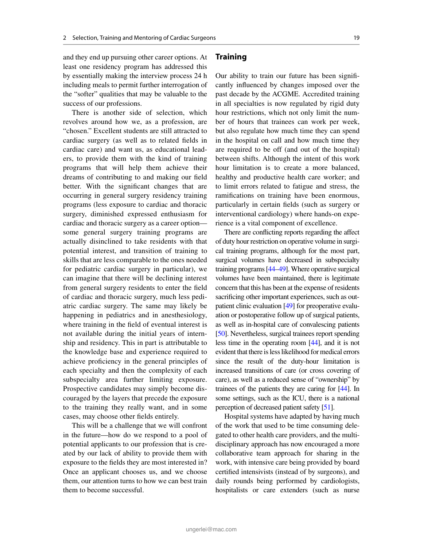and they end up pursuing other career options. At least one residency program has addressed this by essentially making the interview process 24 h including meals to permit further interrogation of the "softer" qualities that may be valuable to the success of our professions.

 There is another side of selection, which revolves around how we, as a profession, are "chosen." Excellent students are still attracted to cardiac surgery (as well as to related fields in cardiac care) and want us, as educational leaders, to provide them with the kind of training programs that will help them achieve their dreams of contributing to and making our field better. With the significant changes that are occurring in general surgery residency training programs (less exposure to cardiac and thoracic surgery, diminished expressed enthusiasm for cardiac and thoracic surgery as a career option some general surgery training programs are actually disinclined to take residents with that potential interest, and transition of training to skills that are less comparable to the ones needed for pediatric cardiac surgery in particular), we can imagine that there will be declining interest from general surgery residents to enter the field of cardiac and thoracic surgery, much less pediatric cardiac surgery. The same may likely be happening in pediatrics and in anesthesiology, where training in the field of eventual interest is not available during the initial years of internship and residency. This in part is attributable to the knowledge base and experience required to achieve proficiency in the general principles of each specialty and then the complexity of each subspecialty area further limiting exposure. Prospective candidates may simply become discouraged by the layers that precede the exposure to the training they really want, and in some cases, may choose other fields entirely.

 This will be a challenge that we will confront in the future—how do we respond to a pool of potential applicants to our profession that is created by our lack of ability to provide them with exposure to the fields they are most interested in? Once an applicant chooses us, and we choose them, our attention turns to how we can best train them to become successful.

# **Training**

Our ability to train our future has been significantly influenced by changes imposed over the past decade by the ACGME. Accredited training in all specialties is now regulated by rigid duty hour restrictions, which not only limit the number of hours that trainees can work per week, but also regulate how much time they can spend in the hospital on call and how much time they are required to be off (and out of the hospital) between shifts. Although the intent of this work hour limitation is to create a more balanced, healthy and productive health care worker; and to limit errors related to fatigue and stress, the ramifications on training have been enormous, particularly in certain fields (such as surgery or interventional cardiology) where hands-on experience is a vital component of excellence.

There are conflicting reports regarding the affect of duty hour restriction on operative volume in surgical training programs, although for the most part, surgical volumes have decreased in subspecialty training programs [44–49]. Where operative surgical volumes have been maintained, there is legitimate concern that this has been at the expense of residents sacrificing other important experiences, such as outpatient clinic evaluation  $[49]$  for preoperative evaluation or postoperative follow up of surgical patients, as well as in-hospital care of convalescing patients [50]. Nevertheless, surgical trainees report spending less time in the operating room  $[44]$ , and it is not evident that there is less likelihood for medical errors since the result of the duty-hour limitation is increased transitions of care (or cross covering of care), as well as a reduced sense of "ownership" by trainees of the patients they are caring for [44]. In some settings, such as the ICU, there is a national perception of decreased patient safety [51].

 Hospital systems have adapted by having much of the work that used to be time consuming delegated to other health care providers, and the multidisciplinary approach has now encouraged a more collaborative team approach for sharing in the work, with intensive care being provided by board certified intensivists (instead of by surgeons), and daily rounds being performed by cardiologists, hospitalists or care extenders (such as nurse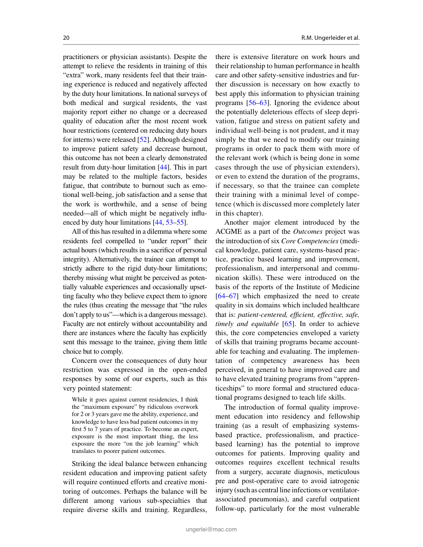practitioners or physician assistants). Despite the attempt to relieve the residents in training of this "extra" work, many residents feel that their training experience is reduced and negatively affected by the duty hour limitations. In national surveys of both medical and surgical residents, the vast majority report either no change or a decreased quality of education after the most recent work hour restrictions (centered on reducing duty hours for interns) were released [52]. Although designed to improve patient safety and decrease burnout, this outcome has not been a clearly demonstrated result from duty-hour limitation [44]. This in part may be related to the multiple factors, besides fatigue, that contribute to burnout such as emotional well-being, job satisfaction and a sense that the work is worthwhile, and a sense of being needed—all of which might be negatively influenced by duty hour limitations  $[44, 53-55]$ .

 All of this has resulted in a dilemma where some residents feel compelled to "under report" their actual hours (which results in a sacrifice of personal integrity). Alternatively, the trainee can attempt to strictly adhere to the rigid duty-hour limitations; thereby missing what might be perceived as potentially valuable experiences and occasionally upsetting faculty who they believe expect them to ignore the rules (thus creating the message that "the rules don't apply to us"—which is a dangerous message). Faculty are not entirely without accountability and there are instances where the faculty has explicitly sent this message to the trainee, giving them little choice but to comply.

 Concern over the consequences of duty hour restriction was expressed in the open-ended responses by some of our experts, such as this very pointed statement:

 While it goes against current residencies, I think the "maximum exposure" by ridiculous overwork for 2 or 3 years gave me the ability, experience, and knowledge to have less bad patient outcomes in my first 5 to 7 years of practice. To become an expert, exposure is the most important thing, the less exposure the more "on the job learning" which translates to poorer patient outcomes.

 Striking the ideal balance between enhancing resident education and improving patient safety will require continued efforts and creative monitoring of outcomes. Perhaps the balance will be different among various sub-specialties that require diverse skills and training. Regardless, there is extensive literature on work hours and their relationship to human performance in health care and other safety-sensitive industries and further discussion is necessary on how exactly to best apply this information to physician training programs  $[56-63]$ . Ignoring the evidence about the potentially deleterious effects of sleep deprivation, fatigue and stress on patient safety and individual well-being is not prudent, and it may simply be that we need to modify our training programs in order to pack them with more of the relevant work (which is being done in some cases through the use of physician extenders), or even to extend the duration of the programs, if necessary, so that the trainee can complete their training with a minimal level of competence (which is discussed more completely later in this chapter).

 Another major element introduced by the ACGME as a part of the *Outcomes* project was the introduction of six *Core Competencies* (medical knowledge, patient care, systems-based practice, practice based learning and improvement, professionalism, and interpersonal and communication skills). These were introduced on the basis of the reports of the Institute of Medicine  $[64 - 67]$  which emphasized the need to create quality in six domains which included healthcare that is: *patient-centered, efficient, effective, safe, timely and equitable* [65]. In order to achieve this, the core competencies enveloped a variety of skills that training programs became accountable for teaching and evaluating. The implementation of competency awareness has been perceived, in general to have improved care and to have elevated training programs from "apprenticeships" to more formal and structured educational programs designed to teach life skills.

 The introduction of formal quality improvement education into residency and fellowship training (as a result of emphasizing systemsbased practice, professionalism, and practicebased learning) has the potential to improve outcomes for patients. Improving quality and outcomes requires excellent technical results from a surgery, accurate diagnosis, meticulous pre and post-operative care to avoid iatrogenic injury (such as central line infections or ventilatorassociated pneumonias), and careful outpatient follow-up, particularly for the most vulnerable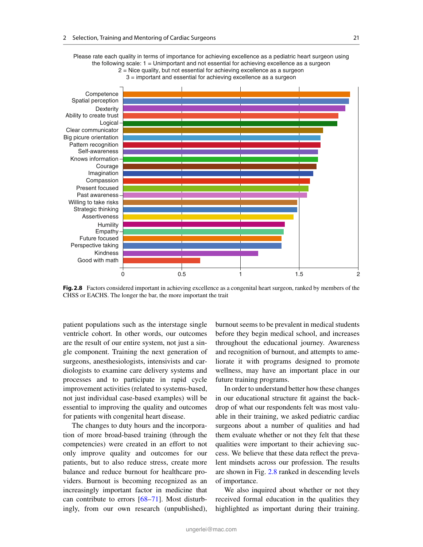

Please rate each quality in terms of importance for achieving excellence as a pediatric heart surgeon using

 **Fig. 2.8** Factors considered important in achieving excellence as a congenital heart surgeon, ranked by members of the CHSS or EACHS. The longer the bar, the more important the trait

patient populations such as the interstage single ventricle cohort. In other words, our outcomes are the result of our entire system, not just a single component. Training the next generation of surgeons, anesthesiologists, intensivists and cardiologists to examine care delivery systems and processes and to participate in rapid cycle improvement activities (related to systems-based, not just individual case-based examples) will be essential to improving the quality and outcomes for patients with congenital heart disease.

 The changes to duty hours and the incorporation of more broad-based training (through the competencies) were created in an effort to not only improve quality and outcomes for our patients, but to also reduce stress, create more balance and reduce burnout for healthcare providers. Burnout is becoming recognized as an increasingly important factor in medicine that can contribute to errors  $[68-71]$ . Most disturbingly, from our own research (unpublished),

burnout seems to be prevalent in medical students before they begin medical school, and increases throughout the educational journey. Awareness and recognition of burnout, and attempts to ameliorate it with programs designed to promote wellness, may have an important place in our future training programs.

 In order to understand better how these changes in our educational structure fit against the backdrop of what our respondents felt was most valuable in their training, we asked pediatric cardiac surgeons about a number of qualities and had them evaluate whether or not they felt that these qualities were important to their achieving success. We believe that these data reflect the prevalent mindsets across our profession. The results are shown in Fig. 2.8 ranked in descending levels of importance.

 We also inquired about whether or not they received formal education in the qualities they highlighted as important during their training.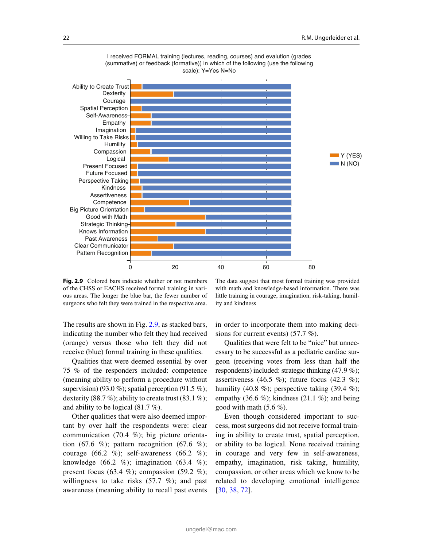

I received FORMAL training (lectures, reading, courses) and evalution (grades (summative) or feedback (formative)) in which of the following (use the following scale): Y=Yes N=No

 **Fig. 2.9** Colored bars indicate whether or not members of the CHSS or EACHS received formal training in various areas. The longer the blue bar, the fewer number of surgeons who felt they were trained in the respective area.

The data suggest that most formal training was provided with math and knowledge-based information. There was little training in courage, imagination, risk-taking, humility and kindness

The results are shown in Fig. 2.9, as stacked bars, indicating the number who felt they had received (orange) versus those who felt they did not receive (blue) formal training in these qualities.

 Qualities that were deemed essential by over 75 % of the responders included: competence (meaning ability to perform a procedure without supervision) (93.0 %); spatial perception (91.5 %); dexterity (88.7 %); ability to create trust (83.1 %); and ability to be logical (81.7 %).

 Other qualities that were also deemed important by over half the respondents were: clear communication (70.4 %); big picture orientation (67.6 %); pattern recognition (67.6 %); courage (66.2 %); self-awareness (66.2 %); knowledge (66.2 %); imagination (63.4 %); present focus  $(63.4 \%)$ ; compassion  $(59.2 \%)$ ; willingness to take risks  $(57.7 \%)$ ; and past awareness (meaning ability to recall past events in order to incorporate them into making decisions for current events) (57.7 %).

 Qualities that were felt to be "nice" but unnecessary to be successful as a pediatric cardiac surgeon (receiving votes from less than half the respondents) included: strategic thinking (47.9 %); assertiveness (46.5 %); future focus (42.3 %); humility (40.8 %); perspective taking (39.4 %); empathy  $(36.6\%)$ ; kindness  $(21.1\%)$ ; and being good with math  $(5.6\%).$ 

 Even though considered important to success, most surgeons did not receive formal training in ability to create trust, spatial perception, or ability to be logical. None received training in courage and very few in self-awareness, empathy, imagination, risk taking, humility, compassion, or other areas which we know to be related to developing emotional intelligence  $[30, 38, 72]$ .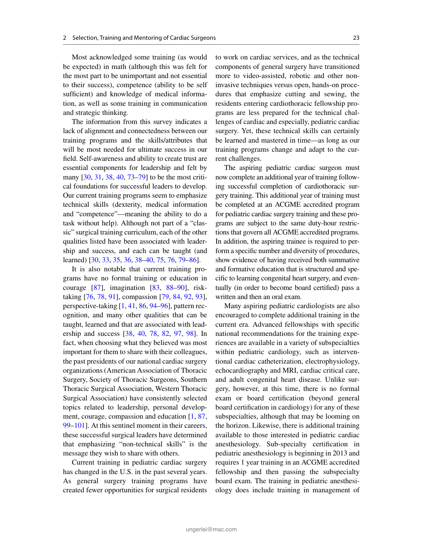Most acknowledged some training (as would be expected) in math (although this was felt for the most part to be unimportant and not essential to their success), competence (ability to be self sufficient) and knowledge of medical information, as well as some training in communication and strategic thinking.

 The information from this survey indicates a lack of alignment and connectedness between our training programs and the skills/attributes that will be most needed for ultimate success in our field. Self-awareness and ability to create trust are essential components for leadership and felt by many [30, 31, 38, 40, 73–79] to be the most critical foundations for successful leaders to develop. Our current training programs seem to emphasize technical skills (dexterity, medical information and "competence"—meaning the ability to do a task without help). Although not part of a "classic" surgical training curriculum, each of the other qualities listed have been associated with leadership and success, and each can be taught (and learned) [30, 33, 35, 36, 38–40, 75, 76, 79–86].

 It is also notable that current training programs have no formal training or education in courage  $[87]$ , imagination  $[83, 88-90]$ , risktaking [76, 78, 91], compassion [79, 84, 92, 93], perspective-taking  $[1, 41, 86, 94–96]$ , pattern recognition, and many other qualities that can be taught, learned and that are associated with leadership and success [38, 40, 78, 82, 97, 98]. In fact, when choosing what they believed was most important for them to share with their colleagues, the past presidents of our national cardiac surgery organizations (American Association of Thoracic Surgery, Society of Thoracic Surgeons, Southern Thoracic Surgical Association, Western Thoracic Surgical Association) have consistently selected topics related to leadership, personal development, courage, compassion and education  $[1, 87,$ 99–101]. At this sentinel moment in their careers, these successful surgical leaders have determined that emphasizing "non-technical skills" is the message they wish to share with others.

 Current training in pediatric cardiac surgery has changed in the U.S. in the past several years. As general surgery training programs have created fewer opportunities for surgical residents to work on cardiac services, and as the technical components of general surgery have transitioned more to video-assisted, robotic and other noninvasive techniques versus open, hands-on procedures that emphasize cutting and sewing, the residents entering cardiothoracic fellowship programs are less prepared for the technical challenges of cardiac and especially, pediatric cardiac surgery. Yet, these technical skills can certainly be learned and mastered in time—as long as our training programs change and adapt to the current challenges.

 The aspiring pediatric cardiac surgeon must now complete an additional year of training following successful completion of cardiothoracic surgery training. This additional year of training must be completed at an ACGME accredited program for pediatric cardiac surgery training and these programs are subject to the same duty-hour restrictions that govern all ACGME accredited programs. In addition, the aspiring trainee is required to perform a specific number and diversity of procedures, show evidence of having received both summative and formative education that is structured and specific to learning congenital heart surgery, and eventually (in order to become board certified) pass a written and then an oral exam.

 Many aspiring pediatric cardiologists are also encouraged to complete additional training in the current era. Advanced fellowships with specific national recommendations for the training experiences are available in a variety of subspecialties within pediatric cardiology, such as interventional cardiac catheterization, electrophysiology, echocardiography and MRI, cardiac critical care, and adult congenital heart disease. Unlike surgery, however, at this time, there is no formal exam or board certification (beyond general board certification in cardiology) for any of these subspecialties, although that may be looming on the horizon. Likewise, there is additional training available to those interested in pediatric cardiac anesthesiology. Sub-specialty certification in pediatric anesthesiology is beginning in 2013 and requires 1 year training in an ACGME accredited fellowship and then passing the subspecialty board exam. The training in pediatric anesthesiology does include training in management of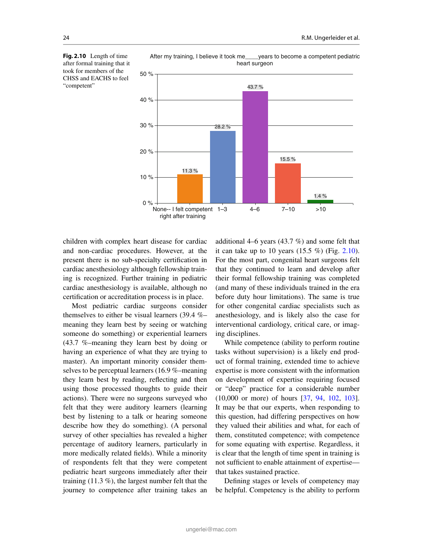

After my training, I believe it took me\_\_\_\_years to become a competent pediatric heart surgeon

 **Fig. 2.10** Length of time after formal training that it took for members of the CHSS and EACHS to feel "competent"

children with complex heart disease for cardiac and non-cardiac procedures. However, at the present there is no sub-specialty certification in cardiac anesthesiology although fellowship training is recognized. Further training in pediatric cardiac anesthesiology is available, although no certification or accreditation process is in place.

 Most pediatric cardiac surgeons consider themselves to either be visual learners (39.4 %– meaning they learn best by seeing or watching someone do something) or experiential learners (43.7 %–meaning they learn best by doing or having an experience of what they are trying to master). An important minority consider themselves to be perceptual learners (16.9 %–meaning they learn best by reading, reflecting and then using those processed thoughts to guide their actions). There were no surgeons surveyed who felt that they were auditory learners (learning best by listening to a talk or hearing someone describe how they do something). (A personal survey of other specialties has revealed a higher percentage of auditory learners, particularly in more medically related fields). While a minority of respondents felt that they were competent pediatric heart surgeons immediately after their training (11.3 %), the largest number felt that the journey to competence after training takes an

additional 4–6 years (43.7 %) and some felt that it can take up to 10 years  $(15.5 \%)$  (Fig. 2.10). For the most part, congenital heart surgeons felt that they continued to learn and develop after their formal fellowship training was completed (and many of these individuals trained in the era before duty hour limitations). The same is true for other congenital cardiac specialists such as anesthesiology, and is likely also the case for interventional cardiology, critical care, or imaging disciplines.

 While competence (ability to perform routine tasks without supervision) is a likely end product of formal training, extended time to achieve expertise is more consistent with the information on development of expertise requiring focused or "deep" practice for a considerable number  $(10,000 \text{ or more})$  of hours  $[37, 94, 102, 103]$ . It may be that our experts, when responding to this question, had differing perspectives on how they valued their abilities and what, for each of them, constituted competence; with competence for some equating with expertise. Regardless, it is clear that the length of time spent in training is not sufficient to enable attainment of expertise that takes sustained practice.

Defining stages or levels of competency may be helpful. Competency is the ability to perform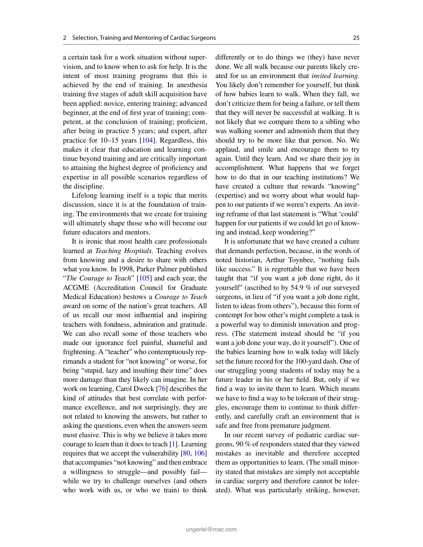a certain task for a work situation without supervision, and to know when to ask for help. It is the intent of most training programs that this is achieved by the end of training. In anesthesia training five stages of adult skill acquisition have been applied: novice, entering training; advanced beginner, at the end of first year of training; competent, at the conclusion of training; proficient, after being in practice 5 years; and expert, after practice for  $10-15$  years  $[104]$ . Regardless, this makes it clear that education and learning continue beyond training and are critically important to attaining the highest degree of proficiency and expertise in all possible scenarios regardless of the discipline.

 Lifelong learning itself is a topic that merits discussion, since it is at the foundation of training. The environments that we create for training will ultimately shape those who will become our future educators and mentors.

 It is ironic that most health care professionals learned at *Teaching Hospitals* . Teaching evolves from knowing and a desire to share with others what you know. In 1998, Parker Palmer published "*The Courage to Teach*" [105] and each year, the ACGME (Accreditation Council for Graduate Medical Education) bestows a *Courage to Teach* award on some of the nation's great teachers. All of us recall our most influential and inspiring teachers with fondness, admiration and gratitude. We can also recall some of those teachers who made our ignorance feel painful, shameful and frightening. A "teacher" who contemptuously reprimands a student for "not knowing" or worse, for being "stupid, lazy and insulting their time" does more damage than they likely can imagine. In her work on learning, Carol Dweck [76] describes the kind of attitudes that best correlate with performance excellence, and not surprisingly, they are not related to knowing the answers, but rather to asking the questions, even when the answers seem most elusive. This is why we believe it takes more courage to learn than it does to teach  $[1]$ . Learning requires that we accept the vulnerability  $[80, 106]$ that accompanies "not knowing" and then embrace a willingness to struggle—and possibly fail while we try to challenge ourselves (and others who work with us, or who we train) to think

 differently or to do things we (they) have never done. We all walk because our parents likely created for us an environment that *invited learning.* You likely don't remember for yourself, but think of how babies learn to walk. When they fall, we don't criticize them for being a failure, or tell them that they will never be successful at walking. It is not likely that we compare them to a sibling who was walking sooner and admonish them that they should try to be more like that person. No. We applaud, and smile and encourage them to try again. Until they learn. And we share their joy in accomplishment. What happens that we forget how to do that in our teaching institutions? We have created a culture that rewards "knowing" (expertise) and we worry about what would happen to our patients if we weren't experts. An inviting reframe of that last statement is "What 'could' happen for our patients if we could let go of knowing and instead, keep wondering?"

 It is unfortunate that we have created a culture that demands perfection, because, in the words of noted historian, Arthur Toynbee, "nothing fails like success." It is regrettable that we have been taught that "if you want a job done right, do it yourself" (ascribed to by 54.9 % of our surveyed surgeons, in lieu of "if you want a job done right, listen to ideas from others"), because this form of contempt for how other's might complete a task is a powerful way to diminish innovation and progress. (The statement instead should be "if you want a job done your way, do it yourself"). One of the babies learning how to walk today will likely set the future record for the 100-yard dash. One of our struggling young students of today may be a future leader in his or her field. But, only if we find a way to invite them to learn. Which means we have to find a way to be tolerant of their struggles, encourage them to continue to think differently, and carefully craft an environment that is safe and free from premature judgment.

 In our recent survey of pediatric cardiac surgeons, 90 % of responders stated that they viewed mistakes as inevitable and therefore accepted them as opportunities to learn. (The small minority stated that mistakes are simply not acceptable in cardiac surgery and therefore cannot be tolerated). What was particularly striking, however,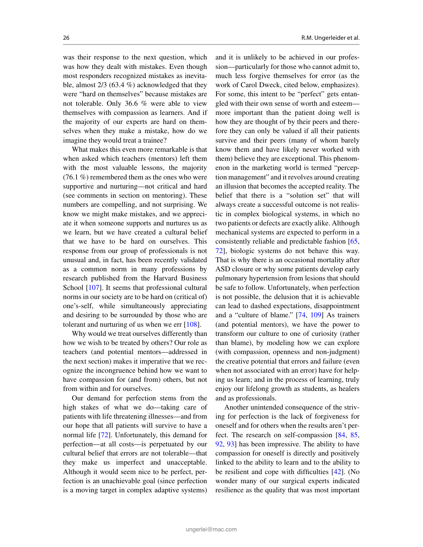was their response to the next question, which was how they dealt with mistakes. Even though most responders recognized mistakes as inevitable, almost 2/3 (63.4 %) acknowledged that they were "hard on themselves" because mistakes are not tolerable. Only 36.6 % were able to view themselves with compassion as learners. And if the majority of our experts are hard on themselves when they make a mistake, how do we imagine they would treat a trainee?

 What makes this even more remarkable is that when asked which teachers (mentors) left them with the most valuable lessons, the majority (76.1 %) remembered them as the ones who were supportive and nurturing—not critical and hard (see comments in section on mentoring). These numbers are compelling, and not surprising. We know we might make mistakes, and we appreciate it when someone supports and nurtures us as we learn, but we have created a cultural belief that we have to be hard on ourselves. This response from our group of professionals is not unusual and, in fact, has been recently validated as a common norm in many professions by research published from the Harvard Business School [107]. It seems that professional cultural norms in our society are to be hard on (critical of) one's-self, while simultaneously appreciating and desiring to be surrounded by those who are tolerant and nurturing of us when we err  $[108]$ .

 Why would we treat ourselves differently than how we wish to be treated by others? Our role as teachers (and potential mentors—addressed in the next section) makes it imperative that we recognize the incongruence behind how we want to have compassion for (and from) others, but not from within and for ourselves.

 Our demand for perfection stems from the high stakes of what we do—taking care of patients with life threatening illnesses—and from our hope that all patients will survive to have a normal life  $[72]$ . Unfortunately, this demand for perfection—at all costs—is perpetuated by our cultural belief that errors are not tolerable—that they make us imperfect and unacceptable. Although it would seem nice to be perfect, perfection is an unachievable goal (since perfection is a moving target in complex adaptive systems)

and it is unlikely to be achieved in our profession—particularly for those who cannot admit to, much less forgive themselves for error (as the work of Carol Dweck, cited below, emphasizes). For some, this intent to be "perfect" gets entangled with their own sense of worth and esteem more important than the patient doing well is how they are thought of by their peers and therefore they can only be valued if all their patients survive and their peers (many of whom barely know them and have likely never worked with them) believe they are exceptional. This phenomenon in the marketing world is termed "perception management" and it revolves around creating an illusion that becomes the accepted reality. The belief that there is a "solution set" that will always create a successful outcome is not realistic in complex biological systems, in which no two patients or defects are exactly alike. Although mechanical systems are expected to perform in a consistently reliable and predictable fashion  $[65, 65]$ 72], biologic systems do not behave this way. That is why there is an occasional mortality after ASD closure or why some patients develop early pulmonary hypertension from lesions that should be safe to follow. Unfortunately, when perfection is not possible, the delusion that it is achievable can lead to dashed expectations, disappointment and a "culture of blame."  $[74, 109]$  As trainers (and potential mentors), we have the power to transform our culture to one of curiosity (rather than blame), by modeling how we can explore (with compassion, openness and non-judgment) the creative potential that errors and failure (even when not associated with an error) have for helping us learn; and in the process of learning, truly enjoy our lifelong growth as students, as healers and as professionals.

 Another unintended consequence of the striving for perfection is the lack of forgiveness for oneself and for others when the results aren't perfect. The research on self-compassion  $[84, 85]$ , 92, 93] has been impressive. The ability to have compassion for oneself is directly and positively linked to the ability to learn and to the ability to be resilient and cope with difficulties  $[42]$ . (No wonder many of our surgical experts indicated resilience as the quality that was most important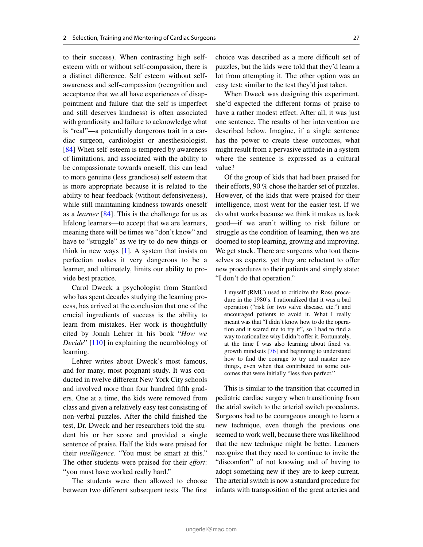to their success). When contrasting high selfesteem with or without self-compassion, there is a distinct difference. Self esteem without selfawareness and self-compassion (recognition and acceptance that we all have experiences of disappointment and failure–that the self is imperfect and still deserves kindness) is often associated with grandiosity and failure to acknowledge what is "real"—a potentially dangerous trait in a cardiac surgeon, cardiologist or anesthesiologist. [84] When self-esteem is tempered by awareness of limitations, and associated with the ability to be compassionate towards oneself, this can lead to more genuine (less grandiose) self esteem that is more appropriate because it is related to the ability to hear feedback (without defensiveness), while still maintaining kindness towards oneself as a *learner* [84]. This is the challenge for us as lifelong learners—to accept that we are learners, meaning there will be times we "don't know" and have to "struggle" as we try to do new things or think in new ways  $[1]$ . A system that insists on perfection makes it very dangerous to be a learner, and ultimately, limits our ability to provide best practice.

 Carol Dweck a psychologist from Stanford who has spent decades studying the learning process, has arrived at the conclusion that one of the crucial ingredients of success is the ability to learn from mistakes. Her work is thoughtfully cited by Jonah Lehrer in his book "How we *Decide*" [110] in explaining the neurobiology of learning.

 Lehrer writes about Dweck's most famous, and for many, most poignant study. It was conducted in twelve different New York City schools and involved more than four hundred fifth graders. One at a time, the kids were removed from class and given a relatively easy test consisting of non-verbal puzzles. After the child finished the test, Dr. Dweck and her researchers told the student his or her score and provided a single sentence of praise. Half the kids were praised for their *intelligence* . "You must be smart at this." The other students were praised for their *effort*: "you must have worked really hard."

 The students were then allowed to choose between two different subsequent tests. The first choice was described as a more difficult set of puzzles, but the kids were told that they'd learn a lot from attempting it. The other option was an easy test; similar to the test they'd just taken.

 When Dweck was designing this experiment, she'd expected the different forms of praise to have a rather modest effect. After all, it was just one sentence. The results of her intervention are described below. Imagine, if a single sentence has the power to create these outcomes, what might result from a pervasive attitude in a system where the sentence is expressed as a cultural value?

 Of the group of kids that had been praised for their efforts, 90 % chose the harder set of puzzles. However, of the kids that were praised for their intelligence, most went for the easier test. If we do what works because we think it makes us look good—if we aren't willing to risk failure or struggle as the condition of learning, then we are doomed to stop learning, growing and improving. We get stuck. There are surgeons who tout themselves as experts, yet they are reluctant to offer new procedures to their patients and simply state: "I don't do that operation."

 I myself (RMU) used to criticize the Ross procedure in the 1980's. I rationalized that it was a bad operation ("risk for two valve disease, etc.") and encouraged patients to avoid it. What I really meant was that "I didn't know how to do the operation and it scared me to try it", so I had to find a way to rationalize why I didn't offer it. Fortunately, at the time I was also learning about fixed vs. growth mindsets  $[76]$  and beginning to understand how to find the courage to try and master new things, even when that contributed to some outcomes that were initially "less than perfect."

 This is similar to the transition that occurred in pediatric cardiac surgery when transitioning from the atrial switch to the arterial switch procedures. Surgeons had to be courageous enough to learn a new technique, even though the previous one seemed to work well, because there was likelihood that the new technique might be better. Learners recognize that they need to continue to invite the "discomfort" of not knowing and of having to adopt something new if they are to keep current. The arterial switch is now a standard procedure for infants with transposition of the great arteries and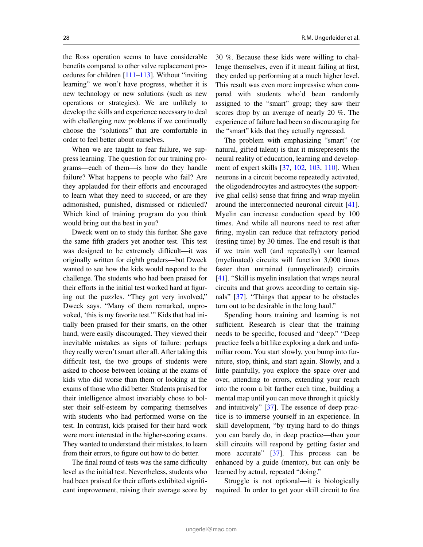the Ross operation seems to have considerable benefits compared to other valve replacement procedures for children [111-113]. Without "inviting learning" we won't have progress, whether it is new technology or new solutions (such as new operations or strategies). We are unlikely to develop the skills and experience necessary to deal with challenging new problems if we continually choose the "solutions" that are comfortable in order to feel better about ourselves.

 When we are taught to fear failure, we suppress learning. The question for our training programs—each of them—is how do they handle failure? What happens to people who fail? Are they applauded for their efforts and encouraged to learn what they need to succeed, or are they admonished, punished, dismissed or ridiculed? Which kind of training program do you think would bring out the best in you?

 Dweck went on to study this further. She gave the same fifth graders yet another test. This test was designed to be extremely difficult—it was originally written for eighth graders—but Dweck wanted to see how the kids would respond to the challenge. The students who had been praised for their efforts in the initial test worked hard at figuring out the puzzles. "They got very involved," Dweck says. "Many of them remarked, unprovoked, 'this is my favorite test.'" Kids that had initially been praised for their smarts, on the other hand, were easily discouraged. They viewed their inevitable mistakes as signs of failure: perhaps they really weren't smart after all. After taking this difficult test, the two groups of students were asked to choose between looking at the exams of kids who did worse than them or looking at the exams of those who did better. Students praised for their intelligence almost invariably chose to bolster their self-esteem by comparing themselves with students who had performed worse on the test. In contrast, kids praised for their hard work were more interested in the higher-scoring exams. They wanted to understand their mistakes, to learn from their errors, to figure out how to do better.

The final round of tests was the same difficulty level as the initial test. Nevertheless, students who had been praised for their efforts exhibited significant improvement, raising their average score by 30 %. Because these kids were willing to challenge themselves, even if it meant failing at first, they ended up performing at a much higher level. This result was even more impressive when compared with students who'd been randomly assigned to the "smart" group; they saw their scores drop by an average of nearly 20 %. The experience of failure had been so discouraging for the "smart" kids that they actually regressed.

R.M. Ungerleider et al.

 The problem with emphasizing "smart" (or natural, gifted talent) is that it misrepresents the neural reality of education, learning and development of expert skills [37, 102, 103, 110]. When neurons in a circuit become repeatedly activated, the oligodendrocytes and astrocytes (the supportive glial cells) sense that firing and wrap myelin around the interconnected neuronal circuit [41]. Myelin can increase conduction speed by 100 times. And while all neurons need to rest after firing, myelin can reduce that refractory period (resting time) by 30 times. The end result is that if we train well (and repeatedly) our learned (myelinated) circuits will function 3,000 times faster than untrained (unmyelinated) circuits [41]. "Skill is myelin insulation that wraps neural circuits and that grows according to certain signals" [37]. "Things that appear to be obstacles turn out to be desirable in the long haul."

 Spending hours training and learning is not sufficient. Research is clear that the training needs to be specific, focused and "deep." "Deep practice feels a bit like exploring a dark and unfamiliar room. You start slowly, you bump into furniture, stop, think, and start again. Slowly, and a little painfully, you explore the space over and over, attending to errors, extending your reach into the room a bit farther each time, building a mental map until you can move through it quickly and intuitively" [37]. The essence of deep practice is to immerse yourself in an experience. In skill development, "by trying hard to do things you can barely do, in deep practice—then your skill circuits will respond by getting faster and more accurate"  $[37]$ . This process can be enhanced by a guide (mentor), but can only be learned by actual, repeated "doing."

 Struggle is not optional—it is biologically required. In order to get your skill circuit to fire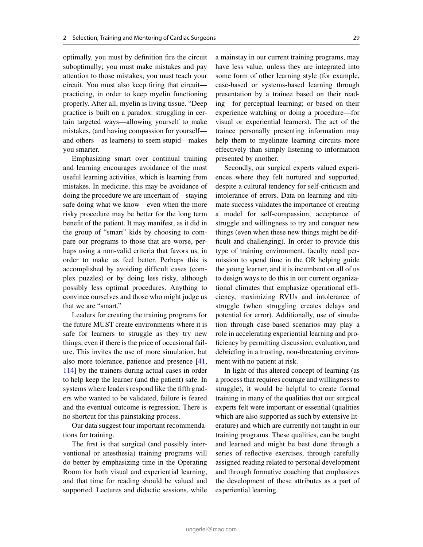optimally, you must by definition fire the circuit suboptimally; you must make mistakes and pay attention to those mistakes; you must teach your circuit. You must also keep firing that circuit practicing, in order to keep myelin functioning properly. After all, myelin is living tissue. "Deep practice is built on a paradox: struggling in certain targeted ways—allowing yourself to make mistakes, (and having compassion for yourself and others—as learners) to seem stupid—makes you smarter.

 Emphasizing smart over continual training and learning encourages avoidance of the most useful learning activities, which is learning from mistakes. In medicine, this may be avoidance of doing the procedure we are uncertain of—staying safe doing what we know—even when the more risky procedure may be better for the long term benefit of the patient. It may manifest, as it did in the group of "smart" kids by choosing to compare our programs to those that are worse, perhaps using a non-valid criteria that favors us, in order to make us feel better. Perhaps this is accomplished by avoiding difficult cases (complex puzzles) or by doing less risky, although possibly less optimal procedures. Anything to convince ourselves and those who might judge us that we are "smart."

 Leaders for creating the training programs for the future MUST create environments where it is safe for learners to struggle as they try new things, even if there is the price of occasional failure. This invites the use of more simulation, but also more tolerance, patience and presence [41, 114] by the trainers during actual cases in order to help keep the learner (and the patient) safe. In systems where leaders respond like the fifth graders who wanted to be validated, failure is feared and the eventual outcome is regression. There is no shortcut for this painstaking process.

 Our data suggest four important recommendations for training.

The first is that surgical (and possibly interventional or anesthesia) training programs will do better by emphasizing time in the Operating Room for both visual and experiential learning, and that time for reading should be valued and supported. Lectures and didactic sessions, while a mainstay in our current training programs, may have less value, unless they are integrated into some form of other learning style (for example, case-based or systems-based learning through presentation by a trainee based on their reading—for perceptual learning; or based on their experience watching or doing a procedure—for visual or experiential learners). The act of the trainee personally presenting information may help them to myelinate learning circuits more effectively than simply listening to information presented by another.

 Secondly, our surgical experts valued experiences where they felt nurtured and supported, despite a cultural tendency for self-criticism and intolerance of errors. Data on learning and ultimate success validates the importance of creating a model for self-compassion, acceptance of struggle and willingness to try and conquer new things (even when these new things might be difficult and challenging). In order to provide this type of training environment, faculty need permission to spend time in the OR helping guide the young learner, and it is incumbent on all of us to design ways to do this in our current organizational climates that emphasize operational efficiency, maximizing RVUs and intolerance of struggle (when struggling creates delays and potential for error). Additionally, use of simulation through case-based scenarios may play a role in accelerating experiential learning and proficiency by permitting discussion, evaluation, and debriefing in a trusting, non-threatening environment with no patient at risk.

 In light of this altered concept of learning (as a process that requires courage and willingness to struggle), it would be helpful to create formal training in many of the qualities that our surgical experts felt were important or essential (qualities which are also supported as such by extensive literature) and which are currently not taught in our training programs. These qualities, can be taught and learned and might be best done through a series of reflective exercises, through carefully assigned reading related to personal development and through formative coaching that emphasizes the development of these attributes as a part of experiential learning.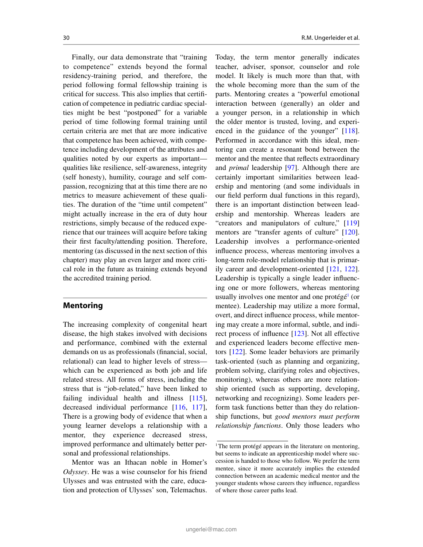Finally, our data demonstrate that "training to competence" extends beyond the formal residency-training period, and therefore, the period following formal fellowship training is critical for success. This also implies that certifi cation of competence in pediatric cardiac specialties might be best "postponed" for a variable period of time following formal training until certain criteria are met that are more indicative that competence has been achieved, with competence including development of the attributes and qualities noted by our experts as important qualities like resilience, self-awareness, integrity (self honesty), humility, courage and self compassion, recognizing that at this time there are no metrics to measure achievement of these qualities. The duration of the "time until competent" might actually increase in the era of duty hour restrictions, simply because of the reduced experience that our trainees will acquire before taking their first faculty/attending position. Therefore, mentoring (as discussed in the next section of this chapter) may play an even larger and more critical role in the future as training extends beyond the accredited training period.

#### **Mentoring**

 The increasing complexity of congenital heart disease, the high stakes involved with decisions and performance, combined with the external demands on us as professionals (financial, social, relational) can lead to higher levels of stress which can be experienced as both job and life related stress. All forms of stress, including the stress that is "job-related," have been linked to failing individual health and illness  $[115]$ , decreased individual performance [116, 117], There is a growing body of evidence that when a young learner develops a relationship with a mentor, they experience decreased stress, improved performance and ultimately better personal and professional relationships.

 Mentor was an Ithacan noble in Homer's *Odyssey* . He was a wise counselor for his friend Ulysses and was entrusted with the care, education and protection of Ulysses' son, Telemachus.

Today, the term mentor generally indicates teacher, adviser, sponsor, counselor and role model. It likely is much more than that, with the whole becoming more than the sum of the parts. Mentoring creates a "powerful emotional interaction between (generally) an older and a younger person, in a relationship in which the older mentor is trusted, loving, and experienced in the guidance of the younger"  $[118]$ . Performed in accordance with this ideal, mentoring can create a resonant bond between the mentor and the mentee that reflects extraordinary and *primal* leadership [97]. Although there are certainly important similarities between leadership and mentoring (and some individuals in our field perform dual functions in this regard), there is an important distinction between leadership and mentorship. Whereas leaders are "creators and manipulators of culture," [119] mentors are "transfer agents of culture" [120]. Leadership involves a performance-oriented influence process, whereas mentoring involves a long-term role-model relationship that is primarily career and development-oriented [121, 122]. Leadership is typically a single leader influencing one or more followers, whereas mentoring usually involves one mentor and one protégé<sup>1</sup> (or mentee). Leadership may utilize a more formal, overt, and direct influence process, while mentoring may create a more informal, subtle, and indirect process of influence  $[123]$ . Not all effective and experienced leaders become effective mentors  $[122]$ . Some leader behaviors are primarily task-oriented (such as planning and organizing, problem solving, clarifying roles and objectives, monitoring), whereas others are more relationship oriented (such as supporting, developing, networking and recognizing). Some leaders perform task functions better than they do relationship functions, but *good mentors must perform relationship functions* . Only those leaders who

<sup>&</sup>lt;sup>1</sup>The term protégé appears in the literature on mentoring, but seems to indicate an apprenticeship model where succession is handed to those who follow. We prefer the term mentee, since it more accurately implies the extended connection between an academic medical mentor and the younger students whose careers they influence, regardless of where those career paths lead.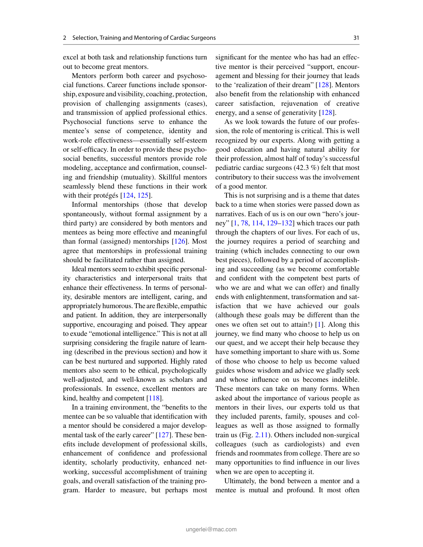excel at both task and relationship functions turn out to become great mentors.

 Mentors perform both career and psychosocial functions. Career functions include sponsorship, exposure and visibility, coaching, protection, provision of challenging assignments (cases), and transmission of applied professional ethics. Psychosocial functions serve to enhance the mentee's sense of competence, identity and work-role effectiveness—essentially self-esteem or self-efficacy. In order to provide these psychosocial benefits, successful mentors provide role modeling, acceptance and confirmation, counseling and friendship (mutuality). Skillful mentors seamlessly blend these functions in their work with their protégés  $[124, 125]$ .

 Informal mentorships (those that develop spontaneously, without formal assignment by a third party) are considered by both mentors and mentees as being more effective and meaningful than formal (assigned) mentorships  $[126]$ . Most agree that mentorships in professional training should be facilitated rather than assigned.

Ideal mentors seem to exhibit specific personality characteristics and interpersonal traits that enhance their effectiveness. In terms of personality, desirable mentors are intelligent, caring, and appropriately humorous. The are flexible, empathic and patient. In addition, they are interpersonally supportive, encouraging and poised. They appear to exude "emotional intelligence." This is not at all surprising considering the fragile nature of learning (described in the previous section) and how it can be best nurtured and supported. Highly rated mentors also seem to be ethical, psychologically well-adjusted, and well-known as scholars and professionals. In essence, excellent mentors are kind, healthy and competent [118].

In a training environment, the "benefits to the mentee can be so valuable that identification with a mentor should be considered a major developmental task of the early career"  $[127]$ . These benefits include development of professional skills, enhancement of confidence and professional identity, scholarly productivity, enhanced networking, successful accomplishment of training goals, and overall satisfaction of the training program. Harder to measure, but perhaps most significant for the mentee who has had an effective mentor is their perceived "support, encouragement and blessing for their journey that leads to the 'realization of their dream" [128]. Mentors also benefit from the relationship with enhanced career satisfaction, rejuvenation of creative energy, and a sense of generativity  $[128]$ .

 As we look towards the future of our profession, the role of mentoring is critical. This is well recognized by our experts. Along with getting a good education and having natural ability for their profession, almost half of today's successful pediatric cardiac surgeons (42.3 %) felt that most contributory to their success was the involvement of a good mentor.

 This is not surprising and is a theme that dates back to a time when stories were passed down as narratives. Each of us is on our own "hero's journey"  $[1, 78, 114, 129 - 132]$  which traces our path through the chapters of our lives. For each of us, the journey requires a period of searching and training (which includes connecting to our own best pieces), followed by a period of accomplishing and succeeding (as we become comfortable and confident with the competent best parts of who we are and what we can offer) and finally ends with enlightenment, transformation and satisfaction that we have achieved our goals (although these goals may be different than the ones we often set out to attain!)  $[1]$ . Along this journey, we find many who choose to help us on our quest, and we accept their help because they have something important to share with us. Some of those who choose to help us become valued guides whose wisdom and advice we gladly seek and whose influence on us becomes indelible. These mentors can take on many forms. When asked about the importance of various people as mentors in their lives, our experts told us that they included parents, family, spouses and colleagues as well as those assigned to formally train us  $(Fig. 2.11)$ . Others included non-surgical colleagues (such as cardiologists) and even friends and roommates from college. There are so many opportunities to find influence in our lives when we are open to accepting it.

 Ultimately, the bond between a mentor and a mentee is mutual and profound. It most often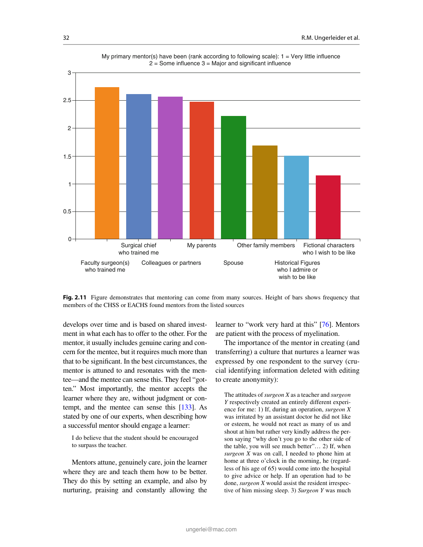

My primary mentor(s) have been (rank according to following scale):  $1 = \text{Very little influence}$  $2 =$  Some influence  $3 =$  Major and significant influence

 **Fig. 2.11** Figure demonstrates that mentoring can come from many sources. Height of bars shows frequency that members of the CHSS or EACHS found mentors from the listed sources

develops over time and is based on shared investment in what each has to offer to the other. For the mentor, it usually includes genuine caring and concern for the mentee, but it requires much more than that to be significant. In the best circumstances, the mentor is attuned to and resonates with the mentee—and the mentee can sense this. They feel "gotten." Most importantly, the mentor accepts the learner where they are, without judgment or contempt, and the mentee can sense this  $[133]$ . As stated by one of our experts, when describing how a successful mentor should engage a learner:

 I do believe that the student should be encouraged to surpass the teacher.

 Mentors attune, genuinely care, join the learner where they are and teach them how to be better. They do this by setting an example, and also by nurturing, praising and constantly allowing the

learner to "work very hard at this" [76]. Mentors are patient with the process of myelination.

 The importance of the mentor in creating (and transferring) a culture that nurtures a learner was expressed by one respondent to the survey (crucial identifying information deleted with editing to create anonymity):

 The attitudes of *surgeon X* as a teacher and *surgeon Y* respectively created an entirely different experience for me: 1) If, during an operation, *surgeon X* was irritated by an assistant doctor he did not like or esteem, he would not react as many of us and shout at him but rather very kindly address the person saying "why don't you go to the other side of the table, you will see much better"… 2) If, when *surgeon X* was on call, I needed to phone him at home at three o'clock in the morning, he (regardless of his age of 65) would come into the hospital to give advice or help. If an operation had to be done, *surgeon X* would assist the resident irrespective of him missing sleep. 3) *Surgeon Y* was much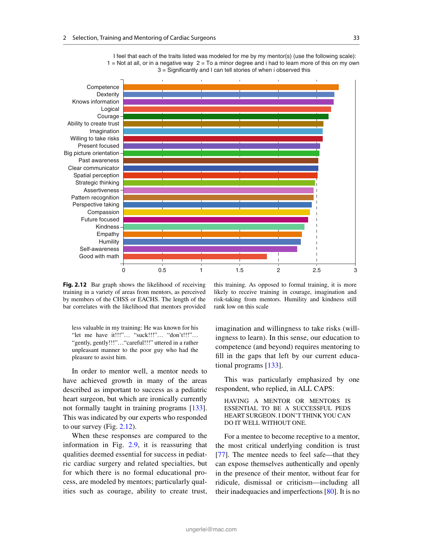

I feel that each of the traits listed was modeled for me by my mentor(s) (use the following scale):  $1 =$  Not at all, or in a negative way  $2 =$  To a minor degree and i had to learn more of this on my own 3 = Significantly and I can tell stories of when i observed this

 **Fig. 2.12** Bar graph shows the likelihood of receiving training in a variety of areas from mentors, as perceived by members of the CHSS or EACHS. The length of the bar correlates with the likelihood that mentors provided

less valuable in my training: He was known for his "let me have it!!!"… "suck!!!"… "don't!!!"… "gently, gently!!!"…"careful!!!" uttered in a rather unpleasant manner to the poor guy who had the pleasure to assist him.

 In order to mentor well, a mentor needs to have achieved growth in many of the areas described as important to success as a pediatric heart surgeon, but which are ironically currently not formally taught in training programs [133]. This was indicated by our experts who responded to our survey (Fig.  $2.12$ ).

 When these responses are compared to the information in Fig. 2.9 , it is reassuring that qualities deemed essential for success in pediatric cardiac surgery and related specialties, but for which there is no formal educational process, are modeled by mentors; particularly qualities such as courage, ability to create trust,

this training. As opposed to formal training, it is more likely to receive training in courage, imagination and risk- taking from mentors. Humility and kindness still rank low on this scale

imagination and willingness to take risks (willingness to learn). In this sense, our education to competence (and beyond) requires mentoring to fill in the gaps that left by our current educational programs  $[133]$ .

 This was particularly emphasized by one respondent, who replied, in ALL CAPS:

#### HAVING A MENTOR OR MENTORS IS ESSENTIAL TO BE A SUCCESSFUL PEDS HEART SURGEON. I DON'T THINK YOU CAN DO IT WELL WITHOUT ONE.

 For a mentee to become receptive to a mentor, the most critical underlying condition is trust [77]. The mentee needs to feel safe—that they can expose themselves authentically and openly in the presence of their mentor, without fear for ridicule, dismissal or criticism—including all their inadequacies and imperfections  $[80]$ . It is no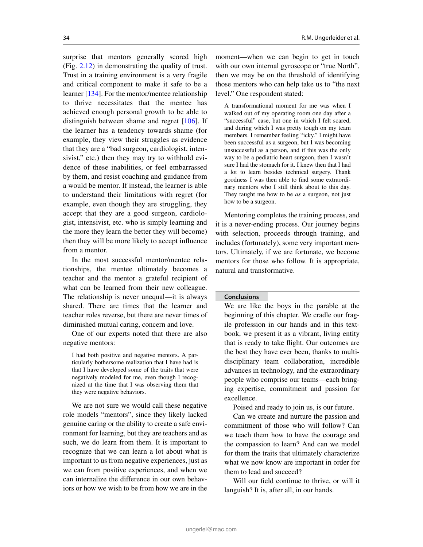surprise that mentors generally scored high (Fig.  $2.12$ ) in demonstrating the quality of trust. Trust in a training environment is a very fragile and critical component to make it safe to be a learner [134]. For the mentor/mentee relationship to thrive necessitates that the mentee has achieved enough personal growth to be able to distinguish between shame and regret  $[106]$ . If the learner has a tendency towards shame (for example, they view their struggles as evidence that they are a "bad surgeon, cardiologist, intensivist," etc.) then they may try to withhold evidence of these inabilities, or feel embarrassed by them, and resist coaching and guidance from a would be mentor. If instead, the learner is able to understand their limitations with regret (for example, even though they are struggling, they accept that they are a good surgeon, cardiologist, intensivist, etc. who is simply learning and the more they learn the better they will become) then they will be more likely to accept influence from a mentor.

 In the most successful mentor/mentee relationships, the mentee ultimately becomes a teacher and the mentor a grateful recipient of what can be learned from their new colleague. The relationship is never unequal—it is always shared. There are times that the learner and teacher roles reverse, but there are never times of diminished mutual caring, concern and love.

 One of our experts noted that there are also negative mentors:

 I had both positive and negative mentors. A particularly bothersome realization that I have had is that I have developed some of the traits that were negatively modeled for me, even though I recognized at the time that I was observing them that they were negative behaviors.

 We are not sure we would call these negative role models "mentors", since they likely lacked genuine caring or the ability to create a safe environment for learning, but they are teachers and as such, we do learn from them. It is important to recognize that we can learn a lot about what is important to us from negative experiences, just as we can from positive experiences, and when we can internalize the difference in our own behaviors or how we wish to be from how we are in the

moment—when we can begin to get in touch with our own internal gyroscope or "true North", then we may be on the threshold of identifying those mentors who can help take us to "the next level." One respondent stated:

 A transformational moment for me was when I walked out of my operating room one day after a "successful" case, but one in which I felt scared, and during which I was pretty tough on my team members. I remember feeling "icky." I might have been successful as a surgeon, but I was becoming unsuccessful as a person, and if this was the only way to be a pediatric heart surgeon, then I wasn't sure I had the stomach for it. I knew then that I had a lot to learn besides technical surgery. Thank goodness I was then able to find some extraordinary mentors who I still think about to this day. They taught me how to be *as* a surgeon, not just how to be a surgeon.

 Mentoring completes the training process, and it is a never-ending process. Our journey begins with selection, proceeds through training, and includes (fortunately), some very important mentors. Ultimately, if we are fortunate, we become mentors for those who follow. It is appropriate, natural and transformative.

#### **Conclusions**

 We are like the boys in the parable at the beginning of this chapter. We cradle our fragile profession in our hands and in this textbook, we present it as a vibrant, living entity that is ready to take flight. Our outcomes are the best they have ever been, thanks to multidisciplinary team collaboration, incredible advances in technology, and the extraordinary people who comprise our teams—each bringing expertise, commitment and passion for excellence.

Poised and ready to join us, is our future.

 Can we create and nurture the passion and commitment of those who will follow? Can we teach them how to have the courage and the compassion to learn? And can we model for them the traits that ultimately characterize what we now know are important in order for them to lead and succeed?

Will our field continue to thrive, or will it languish? It is, after all, in our hands.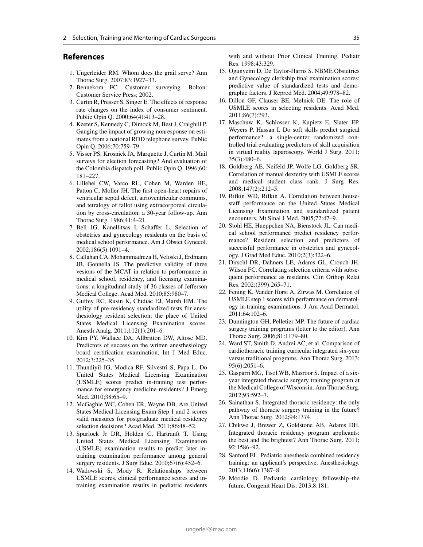### **References**

- 1. Ungerleider RM. Whom does the grail serve? Ann Thorac Surg. 2007;83:1927–33.
- 2. Bennekom FC. Customer surveying. Bolton: Customer Service Press; 2002.
- 3. Curtin R, Presser S, Singer E. The effects of response rate changes on the index of consumer sentiment. Public Opin Q. 2000;64(4):413–28.
- 4. Keeter S, Kennedy C, Dimock M, Best J, Craighill P. Gauging the impact of growing nonresponse on estimates from a national RDD telephone survey. Public Opin Q. 2006;70:759–79.
- 5. Visser PS, Krosnick JA, Marquette J, Curtin M. Mail surveys for election forecasting? And evaluation of the Colombia dispatch poll. Public Opin Q. 1996;60: 181–227.
- 6. Lillehei CW, Varco RL, Cohen M, Warden HE, Patton C, Moller JH. The first open-heart repairs of ventricular septal defect, atrioventricular communis, and tetralogy of fallot using extracorporeal circulation by cross-circulation: a 30-year follow-up. Ann Thorac Surg. 1986;41:4–21.
- 7. Bell JG, Kanellitsas I, Schaffer L. Selection of obstetrics and gynecology residents on the basis of medical school performance. Am J Obstet Gynecol. 2002;186(5):1091–4.
- 8. Callahan CA, Mohammadreza H, Veloski J, Erdmann JB, Gonnella JS. The predictive validity of three vesions of the MCAT in relation to performance in medical school, residency, and licensing examinations: a longitudinal study of 36 classes of Jefferson Medical College. Acad Med. 2010;85:980–7.
- 9. Guffey RC, Rusin K, Chidiac EJ, Marsh HM. The utility of pre-residency standardized tests for anesthesiology resident selection: the place of United States Medical Licensing Examination scores. Anesth Analg. 2011;112(1):201–6.
- 10. Kim PY, Wallace DA, Allbritton DW, Altose MD. Predictors of success on the written anesthesiology board certification examination. Int J Med Educ. 2012;3:225–35.
- 11. Thundiyil JG, Modica RF, Silvestri S, Papa L. Do United States Medical Licensing Examination (USMLE) scores predict in-training test performance for emergency medicine residents? J Emerg Med. 2010;38:65–9.
- 12. McGaghie WC, Cohen ER, Wayne DB. Are United States Medical Licensing Exam Step 1 and 2 scores valid measures for postgraduate medical residency selection decisions? Acad Med. 2011;86:48–52.
- 13. Spurlock Jr DR, Holden C, Hartranft T. Using United States Medical Licensing Examination (USMLE) examination results to predict later intraining examination performance among general surgery residents. J Surg Educ. 2010;67(6):452–6.
- 14. Wadowski S, Mody R. Relationships between USMLE scores, clinical performance scores and intraining examination results in pediatric residents

with and without Prior Clinical Training. Pediatr Res. 1998;43:329.

- 15. Ogunyemi D, De Taylor-Harris S. NBME Obstetrics and Gynecology clerkship final examination scores: predictive value of standardized tests and demographic factors. J Reprod Med. 2004;49:978–82.
- 16. Dillon GF, Clauser BE, Melnick DE. The role of USMLE scores in selecting residents. Acad Med. 2011;86(7):793.
- 17. Maschuw K, Schlosser K, Kupietz E, Slater EP, Weyers P, Hassan I. Do soft skills predict surgical performance?: a single-center randomized controlled trial evaluating predictors of skill acquisition in virtual reality laparoscopy. World J Surg. 2011; 35(3):480–6.
- 18. Goldberg AE, Neifeld JP, Wolfe LG, Goldberg SR. Correlation of manual dexterity with USMLE scores and medical student class rank. J Surg Res. 2008;147(2):212–5.
- 19. Rifkin WD, Rifkin A. Correlation between housestaff performance on the United States Medical Licensing Examination and standardized patient encounters. Mt Sinai J Med. 2005;72:47–9.
- 20. Stohl HE, Hueppchen NA, Bienstock JL. Can medical school performance predict residency performance? Resident selection and predictors of successful performance in obstetrics and gynecology. J Grad Med Educ. 2010;2(3):322–6.
- 21. Dirschl DR, Dahners LE, Adams GL, Crouch JH, Wilson FC. Correlating selection criteria with subsequent performance as residents. Clin Orthop Relat Res. 2002;(399):265–71.
- 22. Fening K, Vander Horst A, Zirwas M. Correlation of USMLE step 1 scores with performance on dermatology in-training examinations. J Am Acad Dermatol. 2011;64:102–6.
- 23. Dunnington GH, Pelletier MP. The future of cardiac surgery training programs (letter to the editor). Ann Thorac Surg. 2006;81:1179–80.
- 24. Ward ST, Smith D, Andrei AC, et al. Comparison of cardiothoracic training curricula: integrated six-year versus traditional programs. Ann Thorac Surg. 2013; 95(6):2051–6.
- 25. Gasparri MG, Tisol WB, Masroor S. Impact of a sixyear integrated thoracic surgery training program at the Medical College of Wisconsin. Ann Thorac Surg. 2012;93:592–7.
- 26. Sainathan S. Integrated thoracic residency: the only pathway of thoracic surgery training in the future? Ann Thorac Surg. 2012;94:1374.
- 27. Chikwe J, Brewer Z, Goldstone AB, Adams DH. Integrated thoracic residency program applicants: the best and the brightest? Ann Thorac Surg. 2011; 92:1586–92.
- 28. Sanford EL. Pediatric anesthesia combined residency training: an applicant's perspective. Anesthesiology. 2013;116(6):1387–8.
- 29. Moodie D. Pediatric cardiology fellowship–the future. Congenit Heart Dis. 2013;8:181.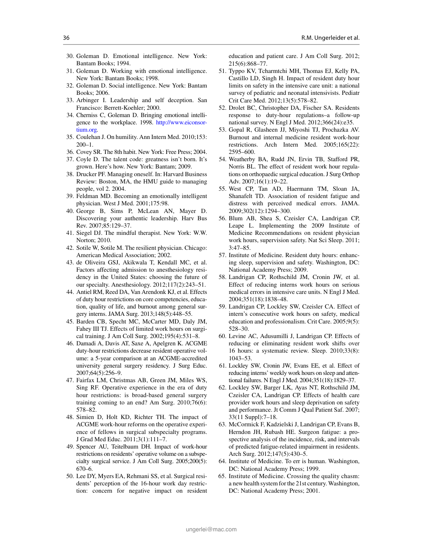- 30. Goleman D. Emotional intelligence. New York: Bantam Books; 1994.
- 31. Goleman D. Working with emotional intelligence. New York: Bantam Books; 1998.
- 32. Goleman D. Social intelligence. New York: Bantam Books; 2006.
- 33. Arbinger I. Leadership and self deception. San Francisco: Berrett-Koehler; 2000.
- 34. Cherniss C, Goleman D. Bringing emotional intelligence to the workplace. 1998. http://www.eiconsortium.org.
- 35. Coulehan J. On humility. Ann Intern Med. 2010;153:  $200 - 1$ .
- 36. Covey SR. The 8th habit. New York: Free Press; 2004.
- 37. Coyle D. The talent code: greatness isn't born. It's grown. Here's how. New York: Bantam; 2009.
- 38. Drucker PF. Managing oneself. In: Harvard Business Review: Boston, MA, the HMU guide to managing people, vol 2. 2004.
- 39. Feldman MD. Becoming an emotionally intelligent physician. West J Med. 2001;175:98.
- 40. George B, Sims P, McLean AN, Mayer D. Discovering your authentic leadership. Harv Bus Rev. 2007;85:129–37.
- 41. Siegel DJ. The mindful therapist. New York: W.W. Norton; 2010.
- 42. Sotile W, Sotile M. The resilient physician. Chicago: American Medical Association; 2002.
- 43. de Oliveira GSJ, Akikwala T, Kendall MC, et al. Factors affecting admission to anesthesiology residency in the United States: choosing the future of our specialty. Anesthesiology. 2012;117(2):243–51.
- 44. Antiel RM, Reed DA, Van Arendonk KJ, et al. Effects of duty hour restrictions on core competencies, education, quality of life, and burnout among general surgery interns. JAMA Surg. 2013;148(5):448–55.
- 45. Barden CB, Specht MC, McCarter MD, Daly JM, Fahey III TJ. Effects of limited work hours on surgical training. J Am Coll Surg. 2002;195(4):531–8.
- 46. Damadi A, Davis AT, Saxe A, Apelgren K. ACGME duty-hour restrictions decrease resident operative volume: a 5-year comparison at an ACGME-accredited university general surgery residency. J Surg Educ. 2007;64(5):256–9.
- 47. Fairfax LM, Christmas AB, Green JM, Miles WS, Sing RF. Operative experience in the era of duty hour restrictions: is broad-based general surgery training coming to an end? Am Surg. 2010;76(6): 578–82.
- 48. Simien D, Holt KD, Richter TH. The impact of ACGME work-hour reforms on the operative experience of fellows in surgical subspecialty programs. J Grad Med Educ. 2011;3(1):111–7.
- 49. Spencer AU, Teitelbaum DH. Impact of work-hour restrictions on residents' operative volume on a subspecialty surgical service. J Am Coll Surg. 2005;200(5): 670–6.
- 50. Lee DY, Myers EA, Rehmani SS, et al. Surgical residents' perception of the 16-hour work day restriction: concern for negative impact on resident

education and patient care. J Am Coll Surg. 2012; 215(6):868–77.

- 51. Typpo KV, Tcharmtchi MH, Thomas EJ, Kelly PA, Castillo LD, Singh H. Impact of resident duty hour limits on safety in the intensive care unit: a national survey of pediatric and neonatal intensivists. Pediatr Crit Care Med. 2012;13(5):578–82.
- 52. Drolet BC, Christopher DA, Fischer SA. Residents response to duty-hour regulations–a follow-up national survey. N Engl J Med. 2012;366(24):e35.
- 53. Gopal R, Glasheen JJ, Miyoshi TJ, Prochazka AV. Burnout and internal medicine resident work-hour restrictions. Arch Intern Med. 2005;165(22): 2595–600.
- 54. Weatherby BA, Rudd JN, Ervin TB, Stafford PR, Norris BL. The effect of resident work hour regulations on orthopaedic surgical education. J Surg Orthop Adv. 2007;16(1):19–22.
- 55. West CP, Tan AD, Haermann TM, Sloan JA, Shanafelt TD. Association of resident fatigue and distress with perceived medical errors. JAMA. 2009;302(12):1294–300.
- 56. Blum AB, Shea S, Czeisler CA, Landrigan CP, Leape L. Implementing the 2009 Institute of Medicine Recommendations on resident physician work hours, supervision safety. Nat Sci Sleep. 2011; 3:47–85.
- 57. Institute of Medicine. Resident duty hours: enhancing sleep, supervision and safety. Washington, DC: National Academy Press; 2009.
- 58. Landrigan CP, Rothschild JM, Cronin JW, et al. Effect of reducing interns work hours on serious medical errors in intensive care units. N Engl J Med. 2004;351(18):1838–48.
- 59. Landrigan CP, Lockley SW, Czeisler CA. Effect of intern's consecutive work hours on safety, medical education and professionalism. Crit Care. 2005;9(5): 528–30.
- 60. Levine AC, Adusumilli J, Landrigan CP. Effects of reducing or eliminating resident work shifts over 16 hours: a systematic review. Sleep. 2010;33(8): 1043–53.
- 61. Lockley SW, Cronin JW, Evans EE, et al. Effect of reducing interns' weekly work hours on sleep and attentional failures. N Engl J Med. 2004;351(18):1829–37.
- 62. Lockley SW, Barger LK, Ayas NT, Rothschild JM, Czeisler CA, Landrigan CP. Effects of health care provider work hours and sleep deprivation on safety and performance. Jt Comm J Qual Patient Saf. 2007; 33(11 Suppl):7–18.
- 63. McCormick F, Kadzielski J, Landrigan CP, Evans B, Herndon JH, Rubash HE. Surgeon fatigue: a prospective analysis of the incidence, risk, and intervals of predicted fatigue-related impairment in residents. Arch Surg. 2012;147(5):430–5.
- 64. Institute of Medicine. To err is human. Washington, DC: National Academy Press; 1999.
- 65. Institute of Medicine. Crossing the quality chasm: a new health system for the 21st century. Washington, DC: National Academy Press; 2001.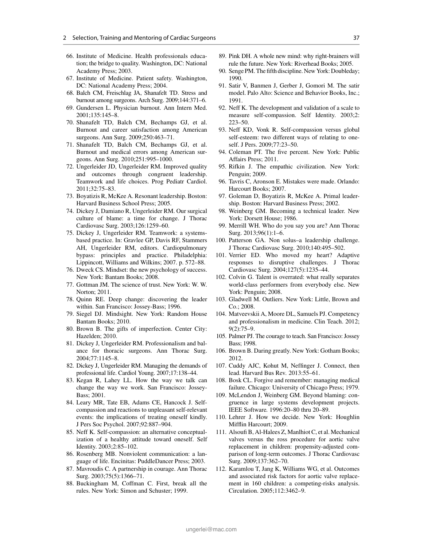- 66. Institute of Medicine. Health professionals education; the bridge to quality. Washington, DC: National Academy Press; 2003.
- 67. Institute of Medicine. Patient safety. Washington, DC: National Academy Press; 2004.
- 68. Balch CM, Freischlag JA, Shanafelt TD. Stress and burnout among surgeons. Arch Surg. 2009;144:371–6.
- 69. Gundersen L. Physician burnout. Ann Intern Med. 2001;135:145–8.
- 70. Shanafelt TD, Balch CM, Bechamps GJ, et al. Burnout and career satisfaction among American surgeons. Ann Surg. 2009;250:463–71.
- 71. Shanafelt TD, Balch CM, Bechamps GJ, et al. Burnout and medical errors among American surgeons. Ann Surg. 2010;251:995–1000.
- 72. Ungerleider JD, Ungerleider RM. Improved quality and outcomes through congruent leadership. Teamwork and life choices. Prog Pediatr Cardiol. 2011;32:75–83.
- 73. Boyatizis R, McKee A. Resonant leadership. Boston: Harvard Business School Press; 2005.
- 74. Dickey J, Damiano R, Ungerleider RM. Our surgical culture of blame: a time for change. J Thorac Cardiovasc Surg. 2003;126:1259–60.
- 75. Dickey J, Ungerleider RM. Teamwork: a systemsbased practice. In: Gravlee GP, Davis RF, Stammers AH, Ungerleider RM, editors. Cardiopulmonary bypass: principles and practice. Philadelphia: Lippincott, Williams and Wilkins; 2007. p. 572–88.
- 76. Dweck CS. Mindset: the new psychology of success. New York: Bantam Books; 2008.
- 77. Gottman JM. The science of trust. New York: W. W. Norton; 2011.
- 78. Quinn RE. Deep change: discovering the leader within. San Francisco: Jossey-Bass; 1996.
- 79. Siegel DJ. Mindsight. New York: Random House Bantam Books; 2010.
- 80. Brown B. The gifts of imperfection. Center City: Hazelden; 2010.
- 81. Dickey J, Ungerleider RM. Professionalism and balance for thoracic surgeons. Ann Thorac Surg. 2004;77:1145–8.
- 82. Dickey J, Ungerleider RM. Managing the demands of professional life. Cardiol Young. 2007;17:138–44.
- 83. Kegan R, Lahey LL. How the way we talk can change the way we work. San Francisco: Jossey-Bass; 2001.
- 84. Leary MR, Tate EB, Adams CE, Hancock J. Selfcompassion and reactions to unpleasant self-relevant events: the implications of treating oneself kindly. J Pers Soc Psychol. 2007;92:887–904.
- 85. Neff K. Self-compassion: an alternative conceptualization of a healthy attitude toward oneself. Self Identity. 2003;2:85–102.
- 86. Rosenberg MB. Nonviolent communication: a language of life. Encinitas: PuddleDancer Press; 2003.
- 87. Mavroudis C. A partnership in courage. Ann Thorac Surg. 2003;75(5):1366-71.
- 88. Buckingham M, Coffman C. First, break all the rules. New York: Simon and Schuster; 1999.
- 89. Pink DH. A whole new mind: why right-brainers will rule the future. New York: Riverhead Books; 2005.
- 90. Senge PM. The fifth discipline. New York: Doubleday; 1990.
- 91. Satir V, Banmen J, Gerber J, Gomori M. The satir model. Palo Alto: Science and Behavior Books, Inc.; 1991.
- 92. Neff K. The development and validation of a scale to measure self-compassion. Self Identity. 2003;2: 223–50.
- 93. Neff KD, Vonk R. Self-compassion versus global self-esteem: two different ways of relating to oneself. J Pers. 2009;77:23–50.
- 94. Coleman PT. The five percent. New York: Public Affairs Press; 2011.
- 95. Rifkin J. The empathic civilization. New York: Penguin; 2009.
- 96. Tavris C, Aronson E. Mistakes were made. Orlando: Harcourt Books; 2007.
- 97. Goleman D, Boyatizis R, McKee A. Primal leadership. Boston: Harvard Business Press; 2002.
- 98. Weinberg GM. Becoming a technical leader. New York: Dorsett House; 1986.
- 99. Merrill WH. Who do you say you are? Ann Thorac Surg. 2013;96(1):1–6.
- 100. Patterson GA. Non solus–a leadership challenge. J Thorac Cardiovasc Surg. 2010;140:495–502.
- 101. Verrier ED. Who moved my heart? Adaptive responses to disruptive challenges. J Thorac Cardiovasc Surg. 2004;127(5):1235–44.
- 102. Colvin G. Talent is overrated: what really separates world-class performers from everybody else. New York: Penguin; 2008.
- 103. Gladwell M. Outliers. New York: Little, Brown and  $Co: 2008$ .
- 104. Matveevskii A, Moore DL, Samuels PJ. Competency and professionalism in medicine. Clin Teach. 2012; 9(2):75–9.
- 105. Palmer PJ. The courage to teach. San Francisco: Jossey Bass; 1998.
- 106. Brown B. Daring greatly. New York: Gotham Books; 2012.
- 107. Cuddy AJC, Kohut M, Neffinger J. Connect, then lead. Harvard Bus Rev. 2013:55-61.
- 108. Bosk CL. Forgive and remember: managing medical failure. Chicago: University of Chicago Press; 1979.
- 109. McLendon J, Weinberg GM. Beyond blaming: congruence in large systems development projects. IEEE Software *.* 1996:20–80 thru 20–89.
- 110. Lehrer J. How we decide. New York: Houghlin Mifflin Harcourt; 2009.
- 111. Alsoufi B, Al-Halees Z, Manlhiot C, et al. Mechanical valves versus the ross procedure for aortic valve replacement in children: propensity-adjusted comparison of long-term outcomes. J Thorac Cardiovasc Surg. 2009;137:362–70.
- 112. Karamlou T, Jang K, Williams WG, et al. Outcomes and associated risk factors for aortic valve replacement in 160 children: a competing-risks analysis. Circulation. 2005;112:3462–9.